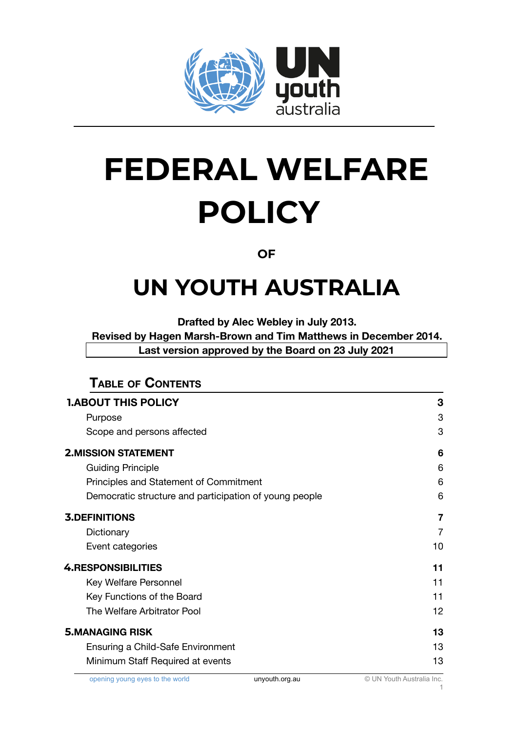

# **FEDERAL WELFARE POLICY**

#### **OF**

## **UN YOUTH AUSTRALIA**

**Drafted by Alec Webley in July 2013.**

**Revised by Hagen Marsh-Brown and Tim Matthews in December 2014. Last version approved by the Board on 23 July 2021**

| <b>TABLE OF CONTENTS</b>                               |    |
|--------------------------------------------------------|----|
| <b>1.ABOUT THIS POLICY</b>                             | 3  |
| Purpose                                                | 3  |
| Scope and persons affected                             | 3  |
| <b>2.MISSION STATEMENT</b>                             | 6  |
| <b>Guiding Principle</b>                               | 6  |
| Principles and Statement of Commitment                 | 6  |
| Democratic structure and participation of young people | 6  |
| <b>3.DEFINITIONS</b>                                   | 7  |
| Dictionary                                             | 7  |
| Event categories                                       | 10 |
| <b>4.RESPONSIBILITIES</b>                              | 11 |
| Key Welfare Personnel                                  | 11 |
| Key Functions of the Board                             | 11 |
| The Welfare Arbitrator Pool                            | 12 |
| <b>5.MANAGING RISK</b>                                 | 13 |
| Ensuring a Child-Safe Environment                      | 13 |
| Minimum Staff Required at events                       | 13 |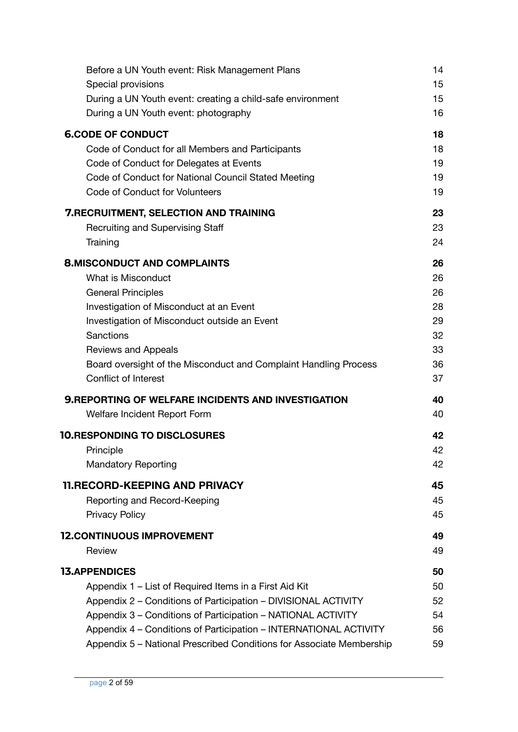| Before a UN Youth event: Risk Management Plans                       | 14 |
|----------------------------------------------------------------------|----|
| Special provisions                                                   | 15 |
| During a UN Youth event: creating a child-safe environment           | 15 |
| During a UN Youth event: photography                                 | 16 |
| <b>6.CODE OF CONDUCT</b>                                             | 18 |
| Code of Conduct for all Members and Participants                     | 18 |
| Code of Conduct for Delegates at Events                              | 19 |
| Code of Conduct for National Council Stated Meeting                  | 19 |
| Code of Conduct for Volunteers                                       | 19 |
| <b>7. RECRUITMENT, SELECTION AND TRAINING</b>                        | 23 |
| <b>Recruiting and Supervising Staff</b>                              | 23 |
| Training                                                             | 24 |
| <b>8.MISCONDUCT AND COMPLAINTS</b>                                   | 26 |
| What is Misconduct                                                   | 26 |
| <b>General Principles</b>                                            | 26 |
| Investigation of Misconduct at an Event                              | 28 |
| Investigation of Misconduct outside an Event                         | 29 |
| <b>Sanctions</b>                                                     | 32 |
| <b>Reviews and Appeals</b>                                           | 33 |
| Board oversight of the Misconduct and Complaint Handling Process     | 36 |
| <b>Conflict of Interest</b>                                          | 37 |
| <b>9. REPORTING OF WELFARE INCIDENTS AND INVESTIGATION</b>           | 40 |
| Welfare Incident Report Form                                         | 40 |
| <b>10.RESPONDING TO DISCLOSURES</b>                                  | 42 |
| Principle                                                            | 42 |
| <b>Mandatory Reporting</b>                                           | 42 |
| <b>11.RECORD-KEEPING AND PRIVACY</b>                                 | 45 |
| Reporting and Record-Keeping                                         | 45 |
| <b>Privacy Policy</b>                                                | 45 |
| <b>12. CONTINUOUS IMPROVEMENT</b>                                    | 49 |
| Review                                                               | 49 |
| <b>13.APPENDICES</b>                                                 | 50 |
| Appendix 1 – List of Required Items in a First Aid Kit               | 50 |
| Appendix 2 - Conditions of Participation - DIVISIONAL ACTIVITY       | 52 |
| Appendix 3 - Conditions of Participation - NATIONAL ACTIVITY         | 54 |
| Appendix 4 - Conditions of Participation - INTERNATIONAL ACTIVITY    | 56 |
| Appendix 5 - National Prescribed Conditions for Associate Membership | 59 |
|                                                                      |    |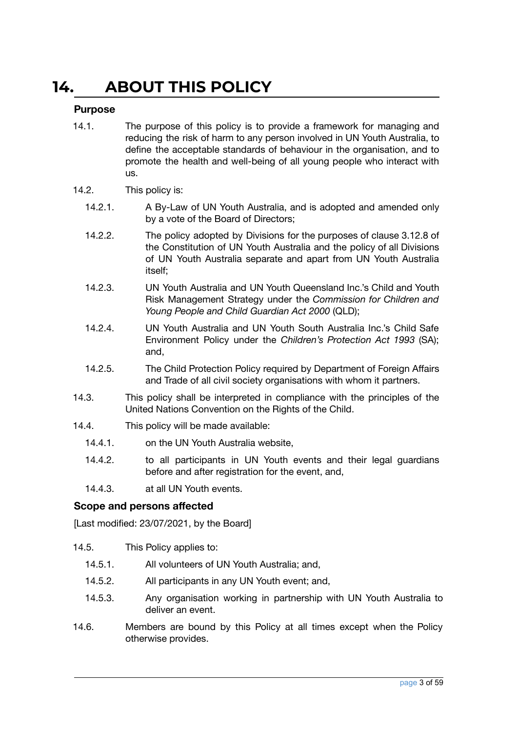### <span id="page-2-0"></span>**14. ABOUT THIS POLICY**

#### <span id="page-2-1"></span>**Purpose**

- 14.1. The purpose of this policy is to provide a framework for managing and reducing the risk of harm to any person involved in UN Youth Australia, to define the acceptable standards of behaviour in the organisation, and to promote the health and well-being of all young people who interact with us.
- 14.2. This policy is:
	- 14.2.1. A By-Law of UN Youth Australia, and is adopted and amended only by a vote of the Board of Directors;
	- 14.2.2. The policy adopted by Divisions for the purposes of clause 3.12.8 of the Constitution of UN Youth Australia and the policy of all Divisions of UN Youth Australia separate and apart from UN Youth Australia itself;
	- 14.2.3. UN Youth Australia and UN Youth Queensland Inc.'s Child and Youth Risk Management Strategy under the *Commission for Children and Young People and Child Guardian Act 2000* (QLD);
	- 14.2.4. UN Youth Australia and UN Youth South Australia Inc.'s Child Safe Environment Policy under the *Children's Protection Act 1993* (SA); and,
	- 14.2.5. The Child Protection Policy required by Department of Foreign Affairs and Trade of all civil society organisations with whom it partners.
- 14.3. This policy shall be interpreted in compliance with the principles of the United Nations Convention on the Rights of the Child.
- 14.4. This policy will be made available:
	- 14.4.1. on the UN Youth Australia website,
	- 14.4.2. to all participants in UN Youth events and their legal guardians before and after registration for the event, and,
	- 14.4.3. at all UN Youth events.

#### <span id="page-2-2"></span>**Scope and persons affected**

- 14.5. This Policy applies to:
	- 14.5.1. All volunteers of UN Youth Australia; and,
	- 14.5.2. All participants in any UN Youth event; and,
	- 14.5.3. Any organisation working in partnership with UN Youth Australia to deliver an event.
- 14.6. Members are bound by this Policy at all times except when the Policy otherwise provides.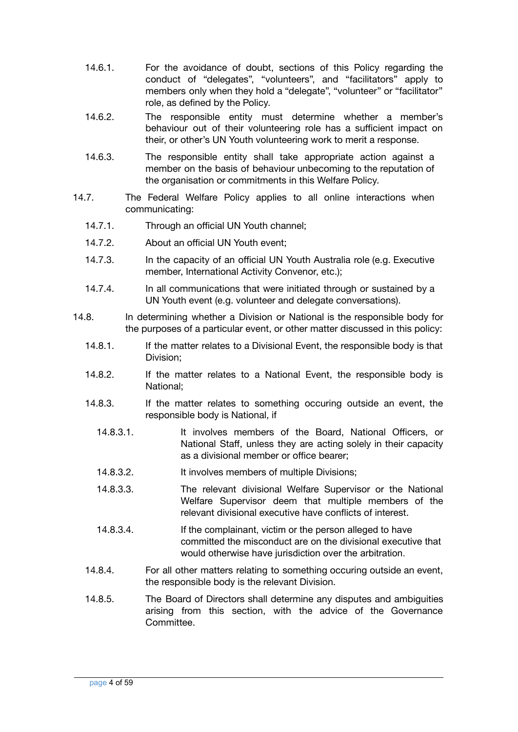- 14.6.1. For the avoidance of doubt, sections of this Policy regarding the conduct of "delegates", "volunteers", and "facilitators" apply to members only when they hold a "delegate", "volunteer" or "facilitator" role, as defined by the Policy.
- 14.6.2. The responsible entity must determine whether a member's behaviour out of their volunteering role has a sufficient impact on their, or other's UN Youth volunteering work to merit a response.
- 14.6.3. The responsible entity shall take appropriate action against a member on the basis of behaviour unbecoming to the reputation of the organisation or commitments in this Welfare Policy.
- 14.7. The Federal Welfare Policy applies to all online interactions when communicating:
	- 14.7.1. Through an official UN Youth channel;
	- 14.7.2. About an official UN Youth event;
	- 14.7.3. In the capacity of an official UN Youth Australia role (e.g. Executive member, International Activity Convenor, etc.);
	- 14.7.4. In all communications that were initiated through or sustained by a UN Youth event (e.g. volunteer and delegate conversations).
- 14.8. In determining whether a Division or National is the responsible body for the purposes of a particular event, or other matter discussed in this policy:
	- 14.8.1. If the matter relates to a Divisional Event, the responsible body is that Division;
	- 14.8.2. If the matter relates to a National Event, the responsible body is National;
	- 14.8.3. If the matter relates to something occuring outside an event, the responsible body is National, if
		- 14.8.3.1. It involves members of the Board, National Officers, or National Staff, unless they are acting solely in their capacity as a divisional member or office bearer;
		- 14.8.3.2. It involves members of multiple Divisions;
		- 14.8.3.3. The relevant divisional Welfare Supervisor or the National Welfare Supervisor deem that multiple members of the relevant divisional executive have conflicts of interest.
		- 14.8.3.4. If the complainant, victim or the person alleged to have committed the misconduct are on the divisional executive that would otherwise have jurisdiction over the arbitration.
	- 14.8.4. For all other matters relating to something occuring outside an event, the responsible body is the relevant Division.
	- 14.8.5. The Board of Directors shall determine any disputes and ambiguities arising from this section, with the advice of the Governance Committee.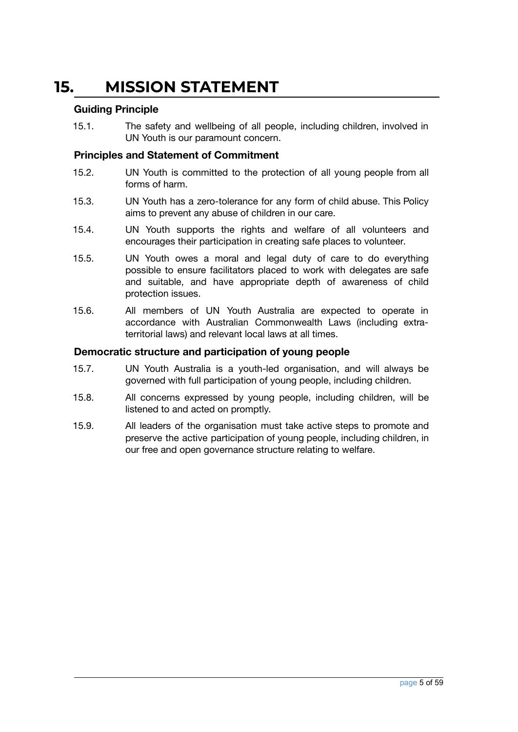### <span id="page-4-0"></span>**15. MISSION STATEMENT**

#### <span id="page-4-1"></span>**Guiding Principle**

15.1. The safety and wellbeing of all people, including children, involved in UN Youth is our paramount concern.

#### <span id="page-4-2"></span>**Principles and Statement of Commitment**

- 15.2. UN Youth is committed to the protection of all young people from all forms of harm.
- 15.3. UN Youth has a zero-tolerance for any form of child abuse. This Policy aims to prevent any abuse of children in our care.
- 15.4. UN Youth supports the rights and welfare of all volunteers and encourages their participation in creating safe places to volunteer.
- 15.5. UN Youth owes a moral and legal duty of care to do everything possible to ensure facilitators placed to work with delegates are safe and suitable, and have appropriate depth of awareness of child protection issues.
- 15.6. All members of UN Youth Australia are expected to operate in accordance with Australian Commonwealth Laws (including extraterritorial laws) and relevant local laws at all times.

#### <span id="page-4-3"></span>**Democratic structure and participation of young people**

- 15.7. UN Youth Australia is a youth-led organisation, and will always be governed with full participation of young people, including children.
- 15.8. All concerns expressed by young people, including children, will be listened to and acted on promptly.
- 15.9. All leaders of the organisation must take active steps to promote and preserve the active participation of young people, including children, in our free and open governance structure relating to welfare.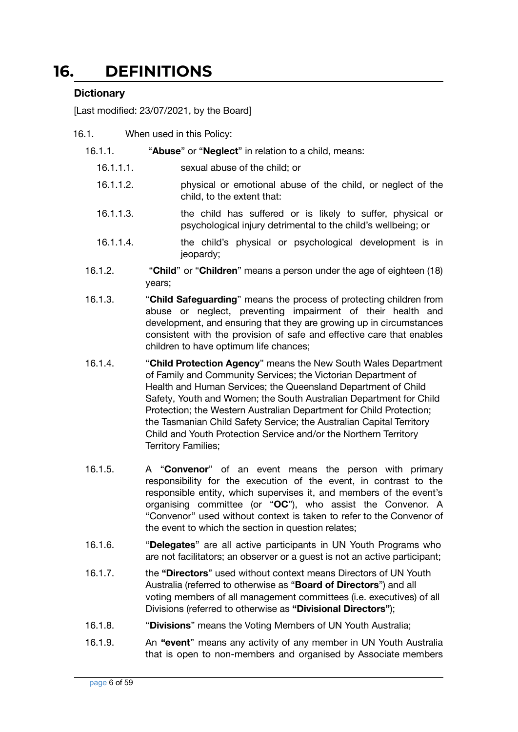### <span id="page-5-0"></span>**16. DEFINITIONS**

#### <span id="page-5-1"></span>**Dictionary**

- 16.1. When used in this Policy:
	- 16.1.1. "**Abuse**" or "**Neglect**" in relation to a child, means:
		- 16.1.1.1. sexual abuse of the child; or
		- 16.1.1.2. physical or emotional abuse of the child, or neglect of the child, to the extent that:
		- 16.1.1.3. the child has suffered or is likely to suffer, physical or psychological injury detrimental to the child's wellbeing; or
		- 16.1.1.4. the child's physical or psychological development is in jeopardy;
	- 16.1.2. "**Child**" or "**Children**" means a person under the age of eighteen (18) years;
	- 16.1.3. "**Child Safeguarding**" means the process of protecting children from abuse or neglect, preventing impairment of their health and development, and ensuring that they are growing up in circumstances consistent with the provision of safe and effective care that enables children to have optimum life chances;
	- 16.1.4. "**Child Protection Agency**" means the New South Wales Department of Family and Community Services; the Victorian Department of Health and Human Services; the Queensland Department of Child Safety, Youth and Women; the South Australian Department for Child Protection; the Western Australian Department for Child Protection; the Tasmanian Child Safety Service; the Australian Capital Territory Child and Youth Protection Service and/or the Northern Territory Territory Families;
	- 16.1.5. A "**Convenor**" of an event means the person with primary responsibility for the execution of the event, in contrast to the responsible entity, which supervises it, and members of the event's organising committee (or "**OC**"), who assist the Convenor. A "Convenor" used without context is taken to refer to the Convenor of the event to which the section in question relates;
	- 16.1.6. "**Delegates**" are all active participants in UN Youth Programs who are not facilitators; an observer or a guest is not an active participant;
	- 16.1.7. the **"Directors**" used without context means Directors of UN Youth Australia (referred to otherwise as "**Board of Directors**") and all voting members of all management committees (i.e. executives) of all Divisions (referred to otherwise as **"Divisional Directors"**);
	- 16.1.8. "**Divisions**" means the Voting Members of UN Youth Australia;
	- 16.1.9. An **"event**" means any activity of any member in UN Youth Australia that is open to non-members and organised by Associate members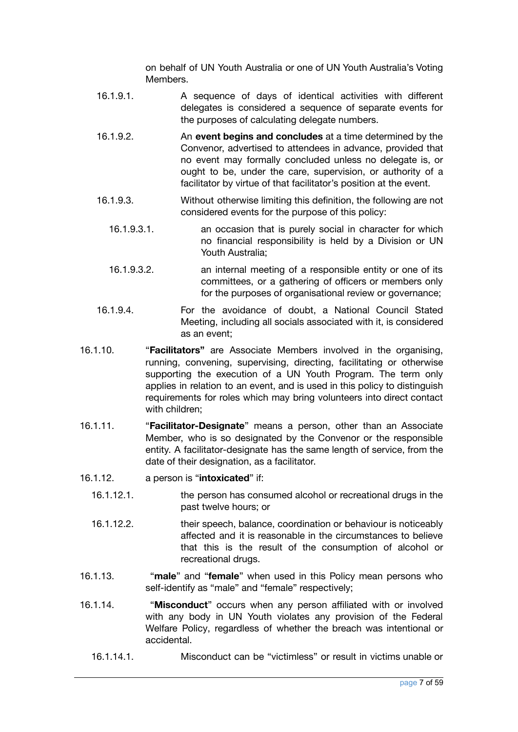on behalf of UN Youth Australia or one of UN Youth Australia's Voting Members.

- 16.1.9.1. A sequence of days of identical activities with different delegates is considered a sequence of separate events for the purposes of calculating delegate numbers.
- 16.1.9.2. An **event begins and concludes** at a time determined by the Convenor, advertised to attendees in advance, provided that no event may formally concluded unless no delegate is, or ought to be, under the care, supervision, or authority of a facilitator by virtue of that facilitator's position at the event.
- 16.1.9.3. Without otherwise limiting this definition, the following are not considered events for the purpose of this policy:
	- 16.1.9.3.1. an occasion that is purely social in character for which no financial responsibility is held by a Division or UN Youth Australia;
	- 16.1.9.3.2. an internal meeting of a responsible entity or one of its committees, or a gathering of officers or members only for the purposes of organisational review or governance;
- 16.1.9.4. For the avoidance of doubt, a National Council Stated Meeting, including all socials associated with it, is considered as an event;
- 16.1.10. "**Facilitators"** are Associate Members involved in the organising, running, convening, supervising, directing, facilitating or otherwise supporting the execution of a UN Youth Program. The term only applies in relation to an event, and is used in this policy to distinguish requirements for roles which may bring volunteers into direct contact with children;
- 16.1.11. "**Facilitator-Designate**" means a person, other than an Associate Member, who is so designated by the Convenor or the responsible entity. A facilitator-designate has the same length of service, from the date of their designation, as a facilitator.
- 16.1.12. a person is "**intoxicated**" if:
	- 16.1.12.1. the person has consumed alcohol or recreational drugs in the past twelve hours; or
	- 16.1.12.2. their speech, balance, coordination or behaviour is noticeably affected and it is reasonable in the circumstances to believe that this is the result of the consumption of alcohol or recreational drugs.
- 16.1.13. "**male**" and "**female**" when used in this Policy mean persons who self-identify as "male" and "female" respectively;
- 16.1.14. "**Misconduct**" occurs when any person affiliated with or involved with any body in UN Youth violates any provision of the Federal Welfare Policy, regardless of whether the breach was intentional or accidental.
	- 16.1.14.1. Misconduct can be "victimless" or result in victims unable or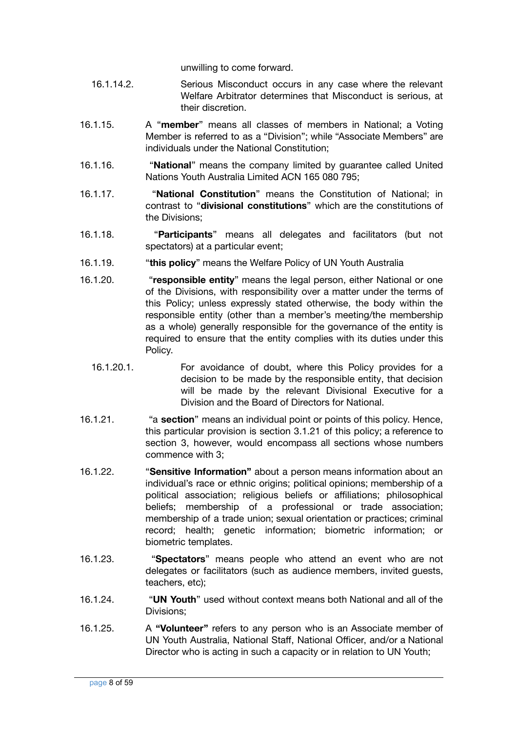unwilling to come forward.

- 16.1.14.2. Serious Misconduct occurs in any case where the relevant Welfare Arbitrator determines that Misconduct is serious, at their discretion.
- 16.1.15. A "**member**" means all classes of members in National; a Voting Member is referred to as a "Division"; while "Associate Members" are individuals under the National Constitution;
- 16.1.16. "**National**" means the company limited by guarantee called United Nations Youth Australia Limited ACN 165 080 795;
- 16.1.17. "**National Constitution**" means the Constitution of National; in contrast to "**divisional constitutions**" which are the constitutions of the Divisions;
- 16.1.18. "**Participants**" means all delegates and facilitators (but not spectators) at a particular event;
- 16.1.19. "**this policy**" means the Welfare Policy of UN Youth Australia
- 16.1.20. "**responsible entity**" means the legal person, either National or one of the Divisions, with responsibility over a matter under the terms of this Policy; unless expressly stated otherwise, the body within the responsible entity (other than a member's meeting/the membership as a whole) generally responsible for the governance of the entity is required to ensure that the entity complies with its duties under this Policy.
	- 16.1.20.1. For avoidance of doubt, where this Policy provides for a decision to be made by the responsible entity, that decision will be made by the relevant Divisional Executive for a Division and the Board of Directors for National.
- 16.1.21. "a **section**" means an individual point or points of this policy. Hence, this particular provision is section 3.1.21 of this policy; a reference to section 3, however, would encompass all sections whose numbers commence with 3;
- 16.1.22. "**Sensitive Information"** about a person means information about an individual's race or ethnic origins; political opinions; membership of a political association; religious beliefs or affiliations; philosophical beliefs; membership of a professional or trade association; membership of a trade union; sexual orientation or practices; criminal record; health; genetic information; biometric information; or biometric templates.
- 16.1.23. "**Spectators**" means people who attend an event who are not delegates or facilitators (such as audience members, invited guests, teachers, etc);
- 16.1.24. "**UN Youth**" used without context means both National and all of the Divisions;
- 16.1.25. A **"Volunteer"** refers to any person who is an Associate member of UN Youth Australia, National Staff, National Officer, and/or a National Director who is acting in such a capacity or in relation to UN Youth;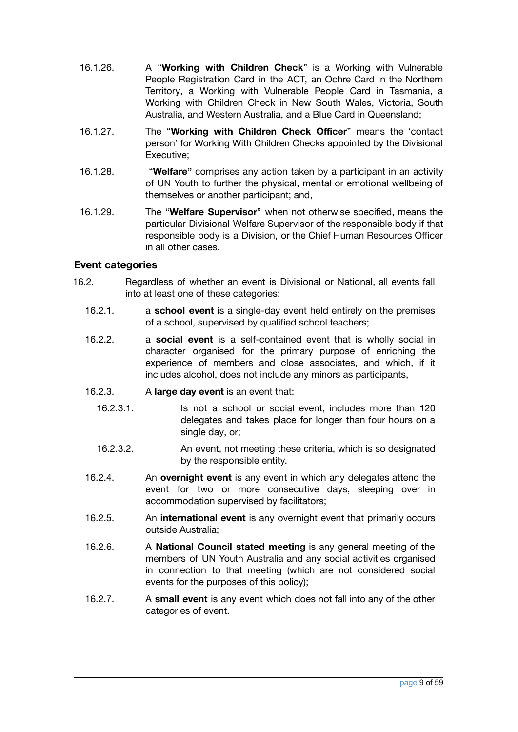- 16.1.26. A "**Working with Children Check**" is a Working with Vulnerable People Registration Card in the ACT, an Ochre Card in the Northern Territory, a Working with Vulnerable People Card in Tasmania, a Working with Children Check in New South Wales, Victoria, South Australia, and Western Australia, and a Blue Card in Queensland;
- 16.1.27. The "**Working with Children Check Officer**" means the 'contact person' for Working With Children Checks appointed by the Divisional Executive;
- 16.1.28. "**Welfare"** comprises any action taken by a participant in an activity of UN Youth to further the physical, mental or emotional wellbeing of themselves or another participant; and,
- 16.1.29. The "**Welfare Supervisor**" when not otherwise specified, means the particular Divisional Welfare Supervisor of the responsible body if that responsible body is a Division, or the Chief Human Resources Officer in all other cases.

#### <span id="page-8-0"></span>**Event categories**

- 16.2. Regardless of whether an event is Divisional or National, all events fall into at least one of these categories:
	- 16.2.1. a **school event** is a single-day event held entirely on the premises of a school, supervised by qualified school teachers;
	- 16.2.2. a **social event** is a self-contained event that is wholly social in character organised for the primary purpose of enriching the experience of members and close associates, and which, if it includes alcohol, does not include any minors as participants,
	- 16.2.3. A **large day event** is an event that:
		- 16.2.3.1. Is not a school or social event, includes more than 120 delegates and takes place for longer than four hours on a single day, or;
		- 16.2.3.2. An event, not meeting these criteria, which is so designated by the responsible entity.
	- 16.2.4. An **overnight event** is any event in which any delegates attend the event for two or more consecutive days, sleeping over in accommodation supervised by facilitators;
	- 16.2.5. An **international event** is any overnight event that primarily occurs outside Australia;
	- 16.2.6. A **National Council stated meeting** is any general meeting of the members of UN Youth Australia and any social activities organised in connection to that meeting (which are not considered social events for the purposes of this policy);
	- 16.2.7. A **small event** is any event which does not fall into any of the other categories of event.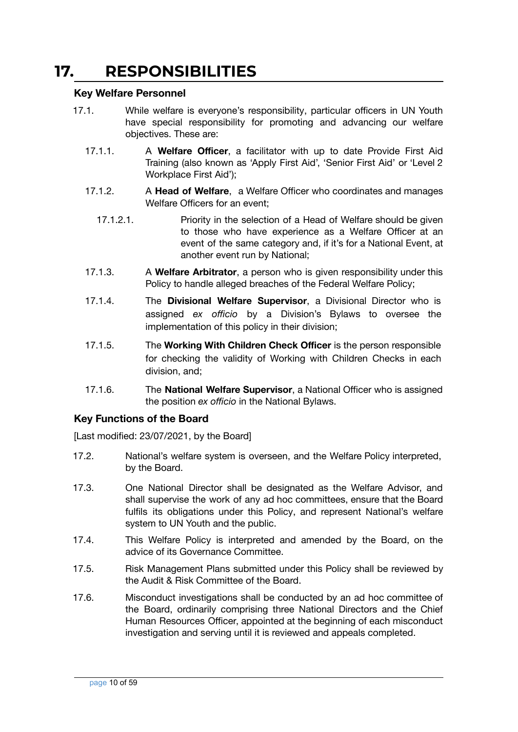### <span id="page-9-0"></span>**17. RESPONSIBILITIES**

#### <span id="page-9-1"></span>**Key Welfare Personnel**

- 17.1. While welfare is everyone's responsibility, particular officers in UN Youth have special responsibility for promoting and advancing our welfare objectives. These are:
	- 17.1.1. A **Welfare Officer**, a facilitator with up to date Provide First Aid Training (also known as 'Apply First Aid', 'Senior First Aid' or 'Level 2 Workplace First Aid');
	- 17.1.2. A **Head of Welfare**, a Welfare Officer who coordinates and manages Welfare Officers for an event;
		- 17.1.2.1. Priority in the selection of a Head of Welfare should be given to those who have experience as a Welfare Officer at an event of the same category and, if it's for a National Event, at another event run by National;
	- 17.1.3. A **Welfare Arbitrator**, a person who is given responsibility under this Policy to handle alleged breaches of the Federal Welfare Policy;
	- 17.1.4. The **Divisional Welfare Supervisor**, a Divisional Director who is assigned *ex officio* by a Division's Bylaws to oversee the implementation of this policy in their division;
	- 17.1.5. The **Working With Children Check Officer** is the person responsible for checking the validity of Working with Children Checks in each division, and;
	- 17.1.6. The **National Welfare Supervisor**, a National Officer who is assigned the position *ex officio* in the National Bylaws.

#### <span id="page-9-2"></span>**Key Functions of the Board**

- 17.2. National's welfare system is overseen, and the Welfare Policy interpreted, by the Board.
- 17.3. One National Director shall be designated as the Welfare Advisor, and shall supervise the work of any ad hoc committees, ensure that the Board fulfils its obligations under this Policy, and represent National's welfare system to UN Youth and the public.
- 17.4. This Welfare Policy is interpreted and amended by the Board, on the advice of its Governance Committee.
- 17.5. Risk Management Plans submitted under this Policy shall be reviewed by the Audit & Risk Committee of the Board.
- 17.6. Misconduct investigations shall be conducted by an ad hoc committee of the Board, ordinarily comprising three National Directors and the Chief Human Resources Officer, appointed at the beginning of each misconduct investigation and serving until it is reviewed and appeals completed.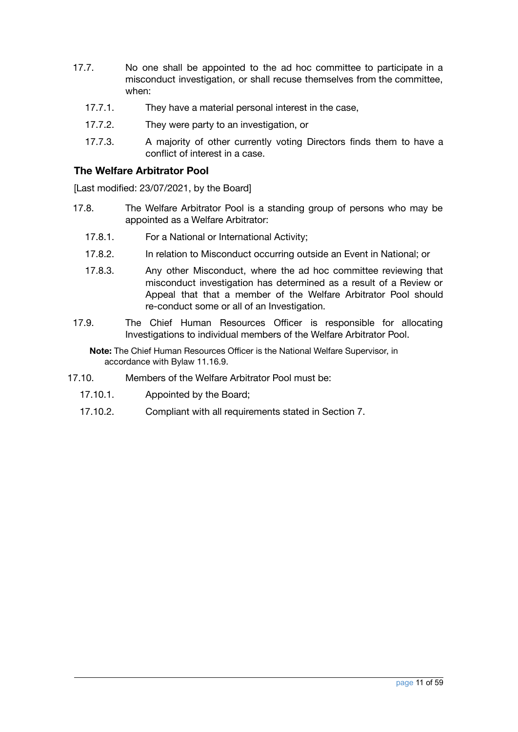- 17.7. No one shall be appointed to the ad hoc committee to participate in a misconduct investigation, or shall recuse themselves from the committee, when:
	- 17.7.1. They have a material personal interest in the case,
	- 17.7.2. They were party to an investigation, or
	- 17.7.3. A majority of other currently voting Directors finds them to have a conflict of interest in a case.

#### <span id="page-10-0"></span>**The Welfare Arbitrator Pool**

[Last modified: 23/07/2021, by the Board]

- 17.8. The Welfare Arbitrator Pool is a standing group of persons who may be appointed as a Welfare Arbitrator:
	- 17.8.1. For a National or International Activity;
	- 17.8.2. In relation to Misconduct occurring outside an Event in National; or
	- 17.8.3. Any other Misconduct, where the ad hoc committee reviewing that misconduct investigation has determined as a result of a Review or Appeal that that a member of the Welfare Arbitrator Pool should re-conduct some or all of an Investigation.
- 17.9. The Chief Human Resources Officer is responsible for allocating Investigations to individual members of the Welfare Arbitrator Pool.

**Note:** The Chief Human Resources Officer is the National Welfare Supervisor, in accordance with Bylaw 11.16.9.

- 17.10. Members of the Welfare Arbitrator Pool must be:
	- 17.10.1. Appointed by the Board;
	- 17.10.2. Compliant with all requirements stated in Section 7.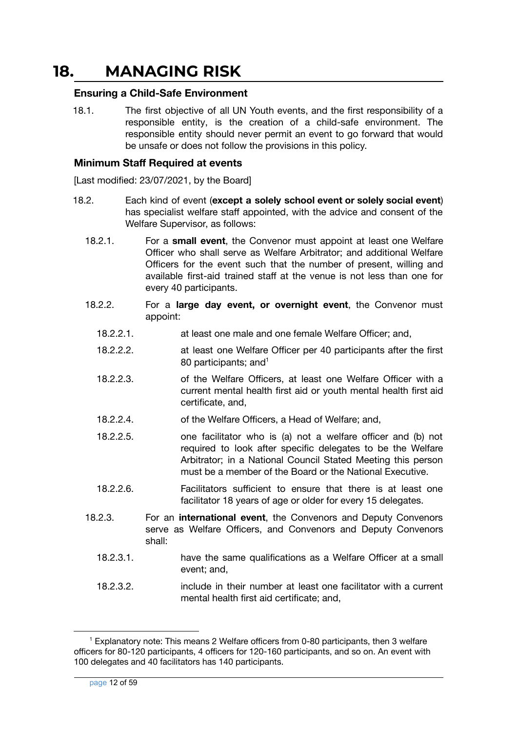### <span id="page-11-0"></span>**18. MANAGING RISK**

#### <span id="page-11-1"></span>**Ensuring a Child-Safe Environment**

18.1. The first objective of all UN Youth events, and the first responsibility of a responsible entity, is the creation of a child-safe environment. The responsible entity should never permit an event to go forward that would be unsafe or does not follow the provisions in this policy.

#### <span id="page-11-2"></span>**Minimum Staff Required at events**

- 18.2. Each kind of event (**except a solely school event or solely social event**) has specialist welfare staff appointed, with the advice and consent of the Welfare Supervisor, as follows:
	- 18.2.1. For a **small event**, the Convenor must appoint at least one Welfare Officer who shall serve as Welfare Arbitrator; and additional Welfare Officers for the event such that the number of present, willing and available first-aid trained staff at the venue is not less than one for every 40 participants.
	- 18.2.2. For a **large day event, or overnight event**, the Convenor must appoint:
		- 18.2.2.1. at least one male and one female Welfare Officer; and,
		- 18.2.2.2. at least one Welfare Officer per 40 participants after the first 80 participants; and<sup>1</sup>
		- 18.2.2.3. of the Welfare Officers, at least one Welfare Officer with a current mental health first aid or youth mental health first aid certificate, and,
		- 18.2.2.4. of the Welfare Officers, a Head of Welfare; and,
		- 18.2.2.5. one facilitator who is (a) not a welfare officer and (b) not required to look after specific delegates to be the Welfare Arbitrator; in a National Council Stated Meeting this person must be a member of the Board or the National Executive.
		- 18.2.2.6. Facilitators sufficient to ensure that there is at least one facilitator 18 years of age or older for every 15 delegates.
	- 18.2.3. For an **international event**, the Convenors and Deputy Convenors serve as Welfare Officers, and Convenors and Deputy Convenors shall:
		- 18.2.3.1. have the same qualifications as a Welfare Officer at a small event; and,
		- 18.2.3.2. include in their number at least one facilitator with a current mental health first aid certificate; and,

 $1$  Explanatory note: This means 2 Welfare officers from 0-80 participants, then 3 welfare officers for 80-120 participants, 4 officers for 120-160 participants, and so on. An event with 100 delegates and 40 facilitators has 140 participants.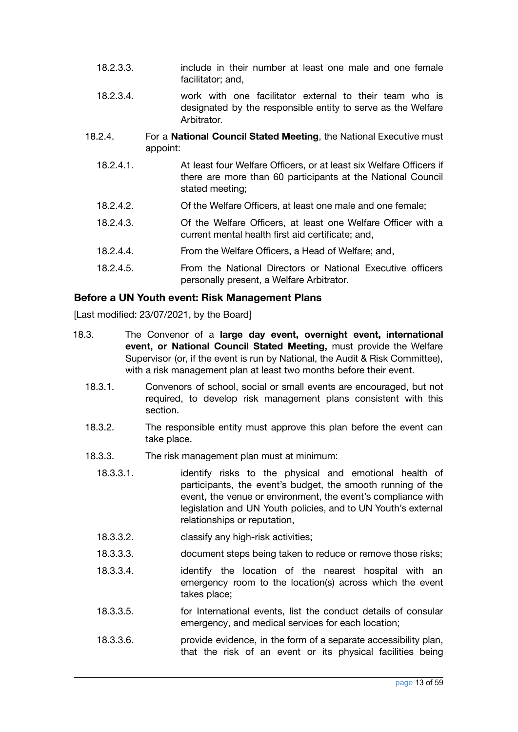- 18.2.3.3. include in their number at least one male and one female facilitator; and,
- 18.2.3.4. work with one facilitator external to their team who is designated by the responsible entity to serve as the Welfare Arbitrator.
- 18.2.4. For a **National Council Stated Meeting**, the National Executive must appoint:
	- 18.2.4.1. At least four Welfare Officers, or at least six Welfare Officers if there are more than 60 participants at the National Council stated meeting;
	- 18.2.4.2. Of the Welfare Officers, at least one male and one female;
	- 18.2.4.3. Of the Welfare Officers, at least one Welfare Officer with a current mental health first aid certificate; and,
	- 18.2.4.4. From the Welfare Officers, a Head of Welfare; and,
	- 18.2.4.5. From the National Directors or National Executive officers personally present, a Welfare Arbitrator.

#### <span id="page-12-0"></span>**Before a UN Youth event: Risk Management Plans**

- 18.3. The Convenor of a **large day event, overnight event, international event, or National Council Stated Meeting,** must provide the Welfare Supervisor (or, if the event is run by National, the Audit & Risk Committee), with a risk management plan at least two months before their event.
	- 18.3.1. Convenors of school, social or small events are encouraged, but not required, to develop risk management plans consistent with this section.
	- 18.3.2. The responsible entity must approve this plan before the event can take place.
	- 18.3.3. The risk management plan must at minimum:
		- 18.3.3.1. identify risks to the physical and emotional health of participants, the event's budget, the smooth running of the event, the venue or environment, the event's compliance with legislation and UN Youth policies, and to UN Youth's external relationships or reputation,
		- 18.3.3.2. classify any high-risk activities;
		- 18.3.3.3. document steps being taken to reduce or remove those risks;
		- 18.3.3.4. identify the location of the nearest hospital with an emergency room to the location(s) across which the event takes place;
		- 18.3.3.5. for International events, list the conduct details of consular emergency, and medical services for each location;
		- 18.3.3.6. provide evidence, in the form of a separate accessibility plan, that the risk of an event or its physical facilities being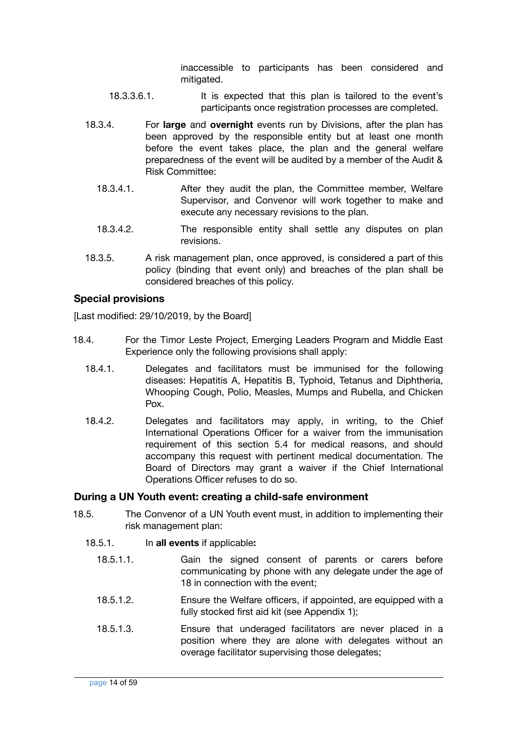inaccessible to participants has been considered and mitigated.

- 18.3.3.6.1. It is expected that this plan is tailored to the event's participants once registration processes are completed.
- 18.3.4. For **large** and **overnight** events run by Divisions, after the plan has been approved by the responsible entity but at least one month before the event takes place, the plan and the general welfare preparedness of the event will be audited by a member of the Audit & Risk Committee:
	- 18.3.4.1. After they audit the plan, the Committee member, Welfare Supervisor, and Convenor will work together to make and execute any necessary revisions to the plan.
	- 18.3.4.2. The responsible entity shall settle any disputes on plan revisions.
- 18.3.5. A risk management plan, once approved, is considered a part of this policy (binding that event only) and breaches of the plan shall be considered breaches of this policy.

#### <span id="page-13-0"></span>**Special provisions**

[Last modified: 29/10/2019, by the Board]

- 18.4. For the Timor Leste Project, Emerging Leaders Program and Middle East Experience only the following provisions shall apply:
	- 18.4.1. Delegates and facilitators must be immunised for the following diseases: Hepatitis A, Hepatitis B, Typhoid, Tetanus and Diphtheria, Whooping Cough, Polio, Measles, Mumps and Rubella, and Chicken Pox.
	- 18.4.2. Delegates and facilitators may apply, in writing, to the Chief International Operations Officer for a waiver from the immunisation requirement of this section 5.4 for medical reasons, and should accompany this request with pertinent medical documentation. The Board of Directors may grant a waiver if the Chief International Operations Officer refuses to do so.

#### <span id="page-13-1"></span>**During a UN Youth event: creating a child-safe environment**

- 18.5. The Convenor of a UN Youth event must, in addition to implementing their risk management plan:
	- 18.5.1. In **all events** if applicable**:**
		- 18.5.1.1. Gain the signed consent of parents or carers before communicating by phone with any delegate under the age of 18 in connection with the event;
		- 18.5.1.2. Ensure the Welfare officers, if appointed, are equipped with a fully stocked first aid kit (see Appendix 1);
		- 18.5.1.3. Ensure that underaged facilitators are never placed in a position where they are alone with delegates without an overage facilitator supervising those delegates;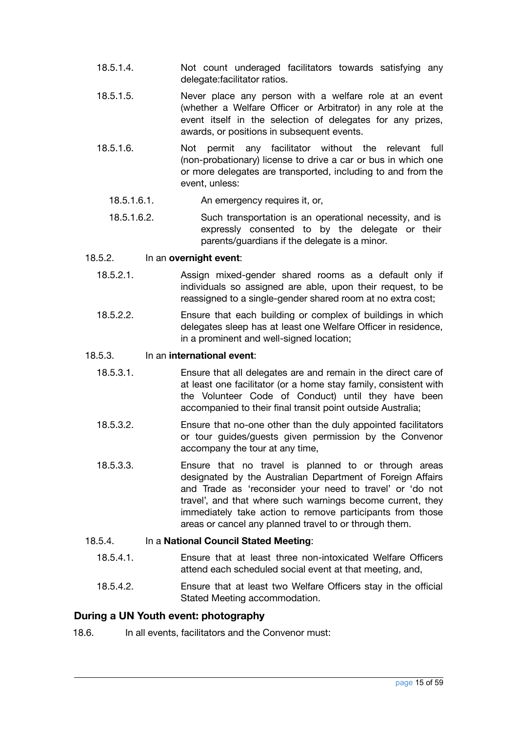- 18.5.1.4. Not count underaged facilitators towards satisfying any delegate:facilitator ratios.
- 18.5.1.5. Never place any person with a welfare role at an event (whether a Welfare Officer or Arbitrator) in any role at the event itself in the selection of delegates for any prizes, awards, or positions in subsequent events.
- 18.5.1.6. Not permit any facilitator without the relevant full (non-probationary) license to drive a car or bus in which one or more delegates are transported, including to and from the event, unless:
	- 18.5.1.6.1. An emergency requires it, or,
	- 18.5.1.6.2. Such transportation is an operational necessity, and is expressly consented to by the delegate or their parents/guardians if the delegate is a minor.

#### 18.5.2. In an **overnight event**:

- 18.5.2.1. Assign mixed-gender shared rooms as a default only if individuals so assigned are able, upon their request, to be reassigned to a single-gender shared room at no extra cost;
- 18.5.2.2. Ensure that each building or complex of buildings in which delegates sleep has at least one Welfare Officer in residence, in a prominent and well-signed location;

#### 18.5.3. In an **international event**:

- 18.5.3.1. Ensure that all delegates are and remain in the direct care of at least one facilitator (or a home stay family, consistent with the Volunteer Code of Conduct) until they have been accompanied to their final transit point outside Australia;
- 18.5.3.2. Ensure that no-one other than the duly appointed facilitators or tour guides/guests given permission by the Convenor accompany the tour at any time,
- 18.5.3.3. Ensure that no travel is planned to or through areas designated by the Australian Department of Foreign Affairs and Trade as 'reconsider your need to travel' or 'do not travel', and that where such warnings become current, they immediately take action to remove participants from those areas or cancel any planned travel to or through them.

#### 18.5.4. In a **National Council Stated Meeting**:

- 18.5.4.1. Ensure that at least three non-intoxicated Welfare Officers attend each scheduled social event at that meeting, and,
- 18.5.4.2. Ensure that at least two Welfare Officers stay in the official Stated Meeting accommodation.

#### <span id="page-14-0"></span>**During a UN Youth event: photography**

18.6. In all events, facilitators and the Convenor must: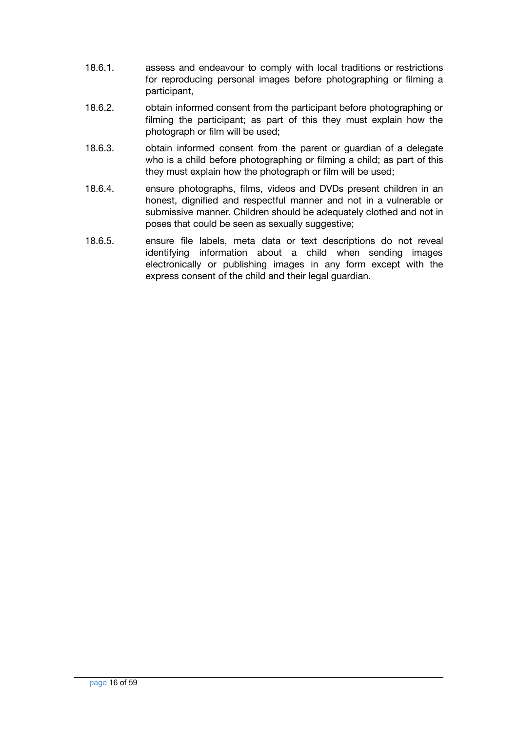- 18.6.1. assess and endeavour to comply with local traditions or restrictions for reproducing personal images before photographing or filming a participant,
- 18.6.2. obtain informed consent from the participant before photographing or filming the participant; as part of this they must explain how the photograph or film will be used;
- 18.6.3. obtain informed consent from the parent or guardian of a delegate who is a child before photographing or filming a child; as part of this they must explain how the photograph or film will be used;
- 18.6.4. ensure photographs, films, videos and DVDs present children in an honest, dignified and respectful manner and not in a vulnerable or submissive manner. Children should be adequately clothed and not in poses that could be seen as sexually suggestive;
- 18.6.5. ensure file labels, meta data or text descriptions do not reveal identifying information about a child when sending images electronically or publishing images in any form except with the express consent of the child and their legal guardian.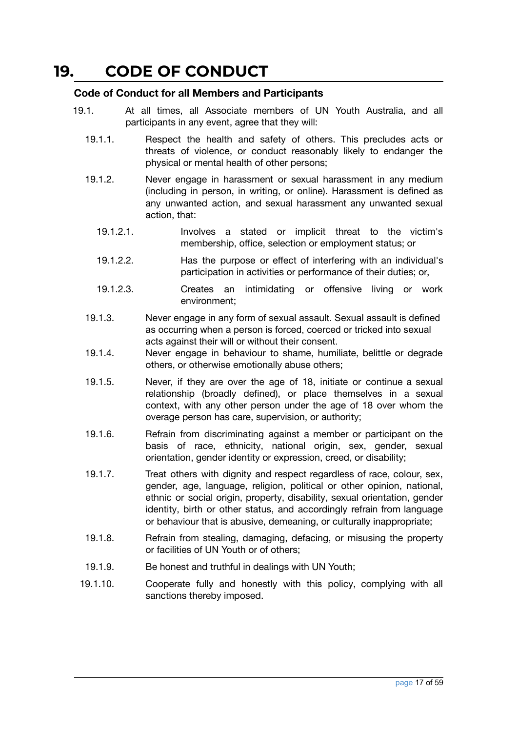### <span id="page-16-0"></span>**19. CODE OF CONDUCT**

#### <span id="page-16-1"></span>**Code of Conduct for all Members and Participants**

- 19.1. At all times, all Associate members of UN Youth Australia, and all participants in any event, agree that they will:
	- 19.1.1. Respect the health and safety of others. This precludes acts or threats of violence, or conduct reasonably likely to endanger the physical or mental health of other persons;
	- 19.1.2. Never engage in harassment or sexual harassment in any medium (including in person, in writing, or online). Harassment is defined as any unwanted action, and sexual harassment any unwanted sexual action, that:
		- 19.1.2.1. Involves a stated or implicit threat to the victim's membership, office, selection or employment status; or
		- 19.1.2.2. Has the purpose or effect of interfering with an individual's participation in activities or performance of their duties; or,
		- 19.1.2.3. Creates an intimidating or offensive living or work environment;
	- 19.1.3. Never engage in any form of sexual assault. Sexual assault is defined as occurring when a person is forced, coerced or tricked into sexual acts against their will or without their consent.
	- 19.1.4. Never engage in behaviour to shame, humiliate, belittle or degrade others, or otherwise emotionally abuse others;
	- 19.1.5. Never, if they are over the age of 18, initiate or continue a sexual relationship (broadly defined), or place themselves in a sexual context, with any other person under the age of 18 over whom the overage person has care, supervision, or authority;
	- 19.1.6. Refrain from discriminating against a member or participant on the basis of race, ethnicity, national origin, sex, gender, sexual orientation, gender identity or expression, creed, or disability;
	- 19.1.7. Treat others with dignity and respect regardless of race, colour, sex, gender, age, language, religion, political or other opinion, national, ethnic or social origin, property, disability, sexual orientation, gender identity, birth or other status, and accordingly refrain from language or behaviour that is abusive, demeaning, or culturally inappropriate;
	- 19.1.8. Refrain from stealing, damaging, defacing, or misusing the property or facilities of UN Youth or of others;
	- 19.1.9. Be honest and truthful in dealings with UN Youth;
	- 19.1.10. Cooperate fully and honestly with this policy, complying with all sanctions thereby imposed.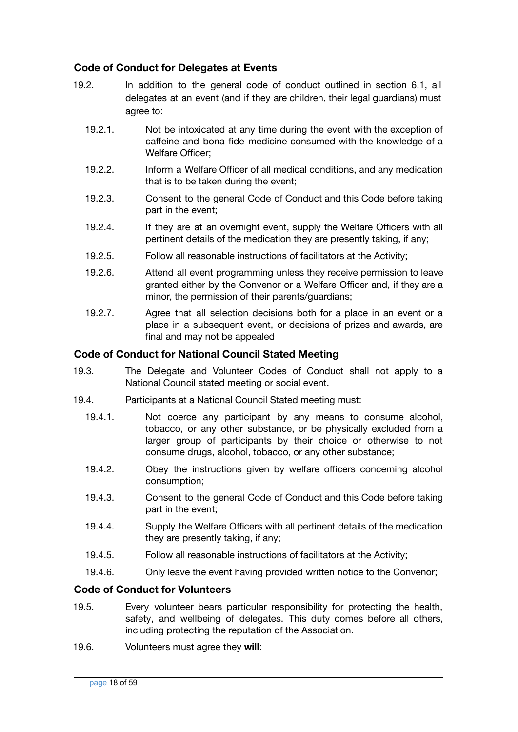#### <span id="page-17-0"></span>**Code of Conduct for Delegates at Events**

- 19.2. In addition to the general code of conduct outlined in section 6.1, all delegates at an event (and if they are children, their legal guardians) must agree to:
	- 19.2.1. Not be intoxicated at any time during the event with the exception of caffeine and bona fide medicine consumed with the knowledge of a Welfare Officer;
	- 19.2.2. Inform a Welfare Officer of all medical conditions, and any medication that is to be taken during the event;
	- 19.2.3. Consent to the general Code of Conduct and this Code before taking part in the event;
	- 19.2.4. If they are at an overnight event, supply the Welfare Officers with all pertinent details of the medication they are presently taking, if any;
	- 19.2.5. Follow all reasonable instructions of facilitators at the Activity;
	- 19.2.6. Attend all event programming unless they receive permission to leave granted either by the Convenor or a Welfare Officer and, if they are a minor, the permission of their parents/guardians;
	- 19.2.7. Agree that all selection decisions both for a place in an event or a place in a subsequent event, or decisions of prizes and awards, are final and may not be appealed

#### <span id="page-17-1"></span>**Code of Conduct for National Council Stated Meeting**

- 19.3. The Delegate and Volunteer Codes of Conduct shall not apply to a National Council stated meeting or social event.
- 19.4. Participants at a National Council Stated meeting must:
	- 19.4.1. Not coerce any participant by any means to consume alcohol, tobacco, or any other substance, or be physically excluded from a larger group of participants by their choice or otherwise to not consume drugs, alcohol, tobacco, or any other substance;
	- 19.4.2. Obey the instructions given by welfare officers concerning alcohol consumption;
	- 19.4.3. Consent to the general Code of Conduct and this Code before taking part in the event;
	- 19.4.4. Supply the Welfare Officers with all pertinent details of the medication they are presently taking, if any;
	- 19.4.5. Follow all reasonable instructions of facilitators at the Activity;
	- 19.4.6. Only leave the event having provided written notice to the Convenor;

#### <span id="page-17-2"></span>**Code of Conduct for Volunteers**

- 19.5. Every volunteer bears particular responsibility for protecting the health, safety, and wellbeing of delegates. This duty comes before all others, including protecting the reputation of the Association.
- 19.6. Volunteers must agree they **will**: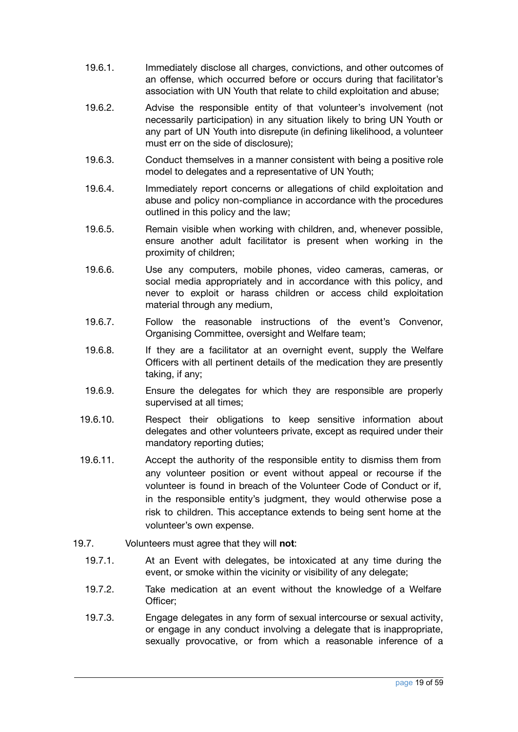- 19.6.1. Immediately disclose all charges, convictions, and other outcomes of an offense, which occurred before or occurs during that facilitator's association with UN Youth that relate to child exploitation and abuse;
- 19.6.2. Advise the responsible entity of that volunteer's involvement (not necessarily participation) in any situation likely to bring UN Youth or any part of UN Youth into disrepute (in defining likelihood, a volunteer must err on the side of disclosure);
- 19.6.3. Conduct themselves in a manner consistent with being a positive role model to delegates and a representative of UN Youth;
- 19.6.4. Immediately report concerns or allegations of child exploitation and abuse and policy non-compliance in accordance with the procedures outlined in this policy and the law;
- 19.6.5. Remain visible when working with children, and, whenever possible, ensure another adult facilitator is present when working in the proximity of children;
- 19.6.6. Use any computers, mobile phones, video cameras, cameras, or social media appropriately and in accordance with this policy, and never to exploit or harass children or access child exploitation material through any medium,
- 19.6.7. Follow the reasonable instructions of the event's Convenor, Organising Committee, oversight and Welfare team;
- 19.6.8. If they are a facilitator at an overnight event, supply the Welfare Officers with all pertinent details of the medication they are presently taking, if any;
- 19.6.9. Ensure the delegates for which they are responsible are properly supervised at all times;
- 19.6.10. Respect their obligations to keep sensitive information about delegates and other volunteers private, except as required under their mandatory reporting duties;
- 19.6.11. Accept the authority of the responsible entity to dismiss them from any volunteer position or event without appeal or recourse if the volunteer is found in breach of the Volunteer Code of Conduct or if, in the responsible entity's judgment, they would otherwise pose a risk to children. This acceptance extends to being sent home at the volunteer's own expense.
- 19.7. Volunteers must agree that they will **not**:
	- 19.7.1. At an Event with delegates, be intoxicated at any time during the event, or smoke within the vicinity or visibility of any delegate;
	- 19.7.2. Take medication at an event without the knowledge of a Welfare Officer;
	- 19.7.3. Engage delegates in any form of sexual intercourse or sexual activity, or engage in any conduct involving a delegate that is inappropriate, sexually provocative, or from which a reasonable inference of a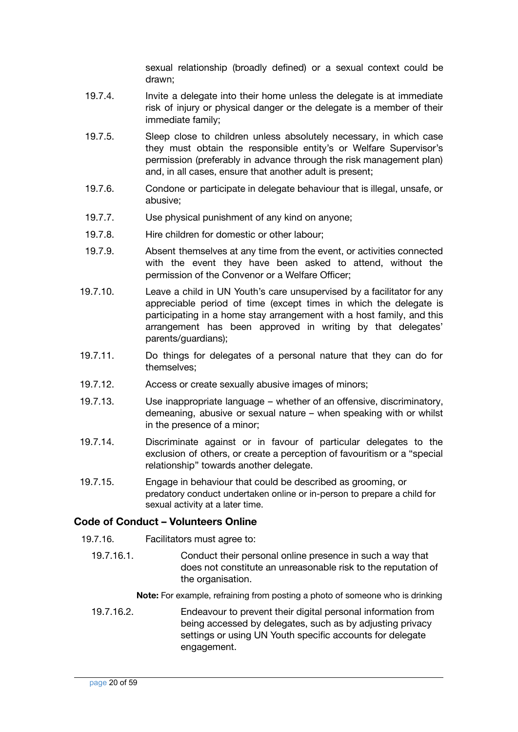sexual relationship (broadly defined) or a sexual context could be drawn;

- 19.7.4. Invite a delegate into their home unless the delegate is at immediate risk of injury or physical danger or the delegate is a member of their immediate family;
- 19.7.5. Sleep close to children unless absolutely necessary, in which case they must obtain the responsible entity's or Welfare Supervisor's permission (preferably in advance through the risk management plan) and, in all cases, ensure that another adult is present;
- 19.7.6. Condone or participate in delegate behaviour that is illegal, unsafe, or abusive;
- 19.7.7. Use physical punishment of any kind on anyone;
- 19.7.8. Hire children for domestic or other labour;
- 19.7.9. Absent themselves at any time from the event, or activities connected with the event they have been asked to attend, without the permission of the Convenor or a Welfare Officer;
- 19.7.10. Leave a child in UN Youth's care unsupervised by a facilitator for any appreciable period of time (except times in which the delegate is participating in a home stay arrangement with a host family, and this arrangement has been approved in writing by that delegates' parents/guardians);
- 19.7.11. Do things for delegates of a personal nature that they can do for themselves;
- 19.7.12. Access or create sexually abusive images of minors;
- 19.7.13. Use inappropriate language whether of an offensive, discriminatory, demeaning, abusive or sexual nature – when speaking with or whilst in the presence of a minor;
- 19.7.14. Discriminate against or in favour of particular delegates to the exclusion of others, or create a perception of favouritism or a "special relationship" towards another delegate.
- 19.7.15. Engage in behaviour that could be described as grooming, or predatory conduct undertaken online or in-person to prepare a child for sexual activity at a later time.

#### **Code of Conduct – Volunteers Online**

- 19.7.16. Facilitators must agree to:
	- 19.7.16.1. Conduct their personal online presence in such a way that does not constitute an unreasonable risk to the reputation of the organisation.
		- **Note:** For example, refraining from posting a photo of someone who is drinking
	- 19.7.16.2. Endeavour to prevent their digital personal information from being accessed by delegates, such as by adjusting privacy settings or using UN Youth specific accounts for delegate engagement.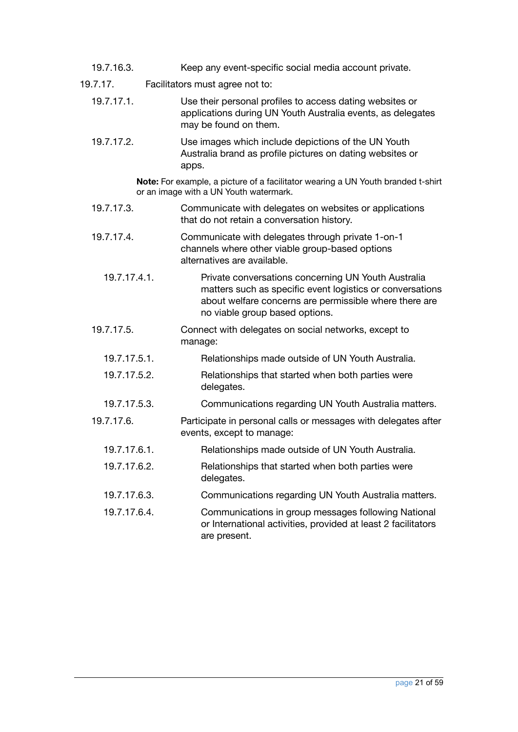- 19.7.16.3. Keep any event-specific social media account private.
- 19.7.17. Facilitators must agree not to:
	- 19.7.17.1. Use their personal profiles to access dating websites or applications during UN Youth Australia events, as delegates may be found on them.
	- 19.7.17.2. Use images which include depictions of the UN Youth Australia brand as profile pictures on dating websites or apps.

**Note:** For example, a picture of a facilitator wearing a UN Youth branded t-shirt or an image with a UN Youth watermark.

- 19.7.17.3. Communicate with delegates on websites or applications that do not retain a conversation history.
- 19.7.17.4. Communicate with delegates through private 1-on-1 channels where other viable group-based options alternatives are available.
	- 19.7.17.4.1. Private conversations concerning UN Youth Australia matters such as specific event logistics or conversations about welfare concerns are permissible where there are no viable group based options.
- 19.7.17.5. Connect with delegates on social networks, except to manage:
	- 19.7.17.5.1. Relationships made outside of UN Youth Australia.
	- 19.7.17.5.2. Relationships that started when both parties were delegates.
- 19.7.17.5.3. Communications regarding UN Youth Australia matters.
- 19.7.17.6. Participate in personal calls or messages with delegates after events, except to manage:
	- 19.7.17.6.1. Relationships made outside of UN Youth Australia.
	- 19.7.17.6.2. Relationships that started when both parties were delegates.
	- 19.7.17.6.3. Communications regarding UN Youth Australia matters.
	- 19.7.17.6.4. Communications in group messages following National or International activities, provided at least 2 facilitators are present.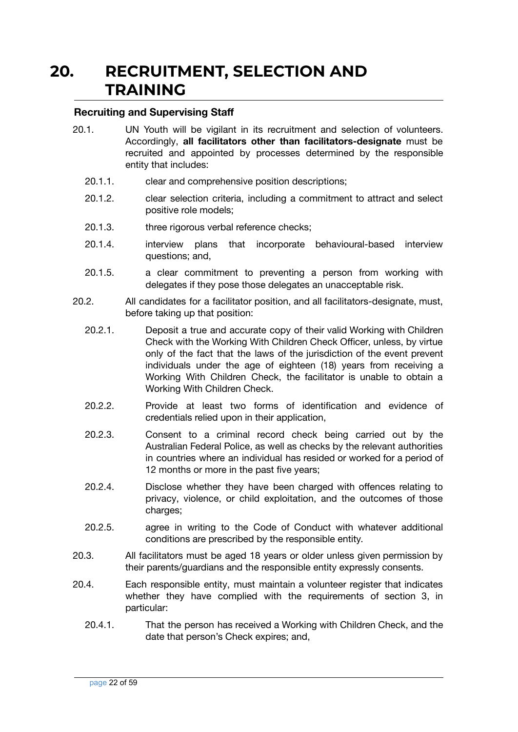### **20. RECRUITMENT, SELECTION AND TRAINING**

#### <span id="page-21-1"></span><span id="page-21-0"></span>**Recruiting and Supervising Staff**

- 20.1. UN Youth will be vigilant in its recruitment and selection of volunteers. Accordingly, **all facilitators other than facilitators-designate** must be recruited and appointed by processes determined by the responsible entity that includes:
	- 20.1.1. clear and comprehensive position descriptions;
	- 20.1.2. clear selection criteria, including a commitment to attract and select positive role models;
	- 20.1.3. three rigorous verbal reference checks;
	- 20.1.4. interview plans that incorporate behavioural-based interview questions; and,
	- 20.1.5. a clear commitment to preventing a person from working with delegates if they pose those delegates an unacceptable risk.
- 20.2. All candidates for a facilitator position, and all facilitators-designate, must, before taking up that position:
	- 20.2.1. Deposit a true and accurate copy of their valid Working with Children Check with the Working With Children Check Officer, unless, by virtue only of the fact that the laws of the jurisdiction of the event prevent individuals under the age of eighteen (18) years from receiving a Working With Children Check, the facilitator is unable to obtain a Working With Children Check.
	- 20.2.2. Provide at least two forms of identification and evidence of credentials relied upon in their application,
	- 20.2.3. Consent to a criminal record check being carried out by the Australian Federal Police, as well as checks by the relevant authorities in countries where an individual has resided or worked for a period of 12 months or more in the past five years;
	- 20.2.4. Disclose whether they have been charged with offences relating to privacy, violence, or child exploitation, and the outcomes of those charges;
	- 20.2.5. agree in writing to the Code of Conduct with whatever additional conditions are prescribed by the responsible entity.
- 20.3. All facilitators must be aged 18 years or older unless given permission by their parents/guardians and the responsible entity expressly consents.
- 20.4. Each responsible entity, must maintain a volunteer register that indicates whether they have complied with the requirements of section 3, in particular:
	- 20.4.1. That the person has received a Working with Children Check, and the date that person's Check expires; and,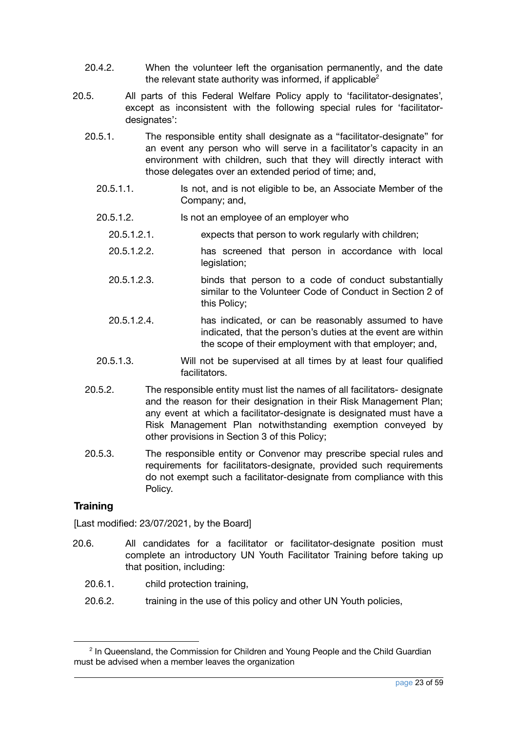- 20.4.2. When the volunteer left the organisation permanently, and the date the relevant state authority was informed, if applicable<sup>2</sup>
- 20.5. All parts of this Federal Welfare Policy apply to 'facilitator-designates', except as inconsistent with the following special rules for 'facilitatordesignates':
	- 20.5.1. The responsible entity shall designate as a "facilitator-designate" for an event any person who will serve in a facilitator's capacity in an environment with children, such that they will directly interact with those delegates over an extended period of time; and,
		- 20.5.1.1. Is not, and is not eligible to be, an Associate Member of the Company; and,
		- 20.5.1.2. Is not an employee of an employer who
			- 20.5.1.2.1. expects that person to work regularly with children;
			- 20.5.1.2.2. has screened that person in accordance with local legislation;
			- 20.5.1.2.3. binds that person to a code of conduct substantially similar to the Volunteer Code of Conduct in Section 2 of this Policy;
			- 20.5.1.2.4. has indicated, or can be reasonably assumed to have indicated, that the person's duties at the event are within the scope of their employment with that employer; and,
		- 20.5.1.3. Will not be supervised at all times by at least four qualified facilitators.
	- 20.5.2. The responsible entity must list the names of all facilitators- designate and the reason for their designation in their Risk Management Plan; any event at which a facilitator-designate is designated must have a Risk Management Plan notwithstanding exemption conveyed by other provisions in Section 3 of this Policy;
	- 20.5.3. The responsible entity or Convenor may prescribe special rules and requirements for facilitators-designate, provided such requirements do not exempt such a facilitator-designate from compliance with this Policy.

#### <span id="page-22-0"></span>**Training**

- 20.6. All candidates for a facilitator or facilitator-designate position must complete an introductory UN Youth Facilitator Training before taking up that position, including:
	- 20.6.1. child protection training,
	- 20.6.2. training in the use of this policy and other UN Youth policies,

<sup>&</sup>lt;sup>2</sup> In Queensland, the Commission for Children and Young People and the Child Guardian must be advised when a member leaves the organization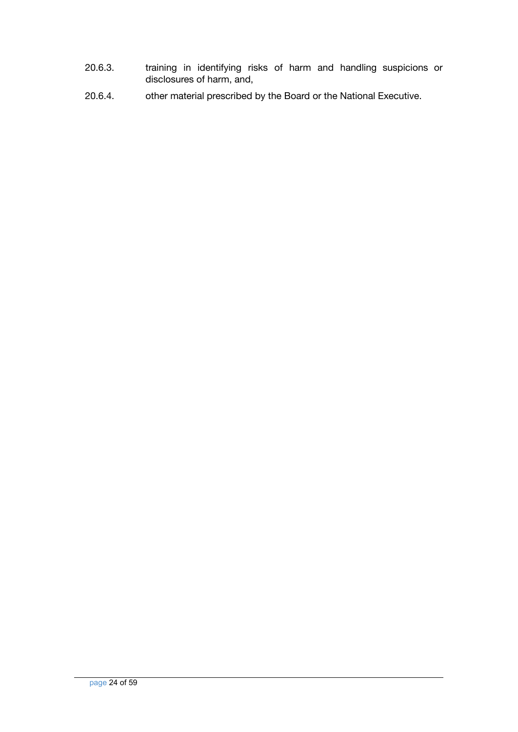- 20.6.3. training in identifying risks of harm and handling suspicions or disclosures of harm, and,
- 20.6.4. other material prescribed by the Board or the National Executive.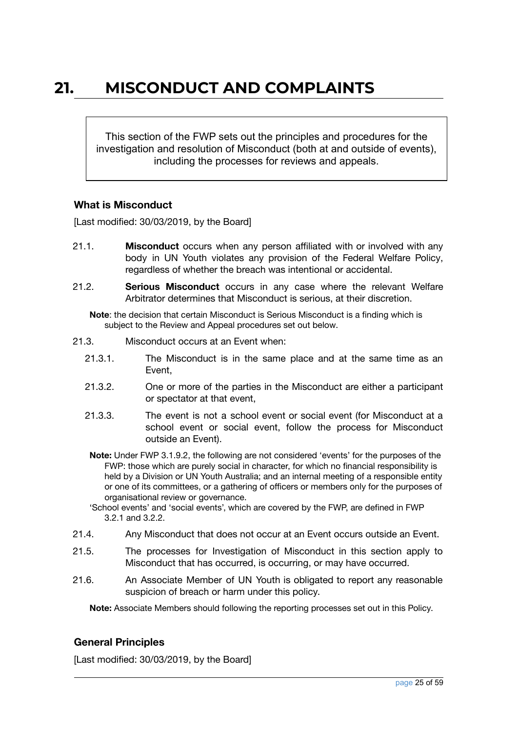### <span id="page-24-0"></span>**21. MISCONDUCT AND COMPLAINTS**

This section of the FWP sets out the principles and procedures for the investigation and resolution of Misconduct (both at and outside of events), including the processes for reviews and appeals.

#### <span id="page-24-1"></span>**What is Misconduct**

[Last modified: 30/03/2019, by the Board]

- 21.1. **Misconduct** occurs when any person affiliated with or involved with any body in UN Youth violates any provision of the Federal Welfare Policy, regardless of whether the breach was intentional or accidental.
- 21.2. **Serious Misconduct** occurs in any case where the relevant Welfare Arbitrator determines that Misconduct is serious, at their discretion.

**Note**: the decision that certain Misconduct is Serious Misconduct is a finding which is subject to the Review and Appeal procedures set out below.

- 21.3. Misconduct occurs at an Event when:
	- 21.3.1. The Misconduct is in the same place and at the same time as an Event,
	- 21.3.2. One or more of the parties in the Misconduct are either a participant or spectator at that event,
	- 21.3.3. The event is not a school event or social event (for Misconduct at a school event or social event, follow the process for Misconduct outside an Event).
	- **Note:** Under FWP 3.1.9.2, the following are not considered 'events' for the purposes of the FWP: those which are purely social in character, for which no financial responsibility is held by a Division or UN Youth Australia; and an internal meeting of a responsible entity or one of its committees, or a gathering of officers or members only for the purposes of organisational review or governance.
	- 'School events' and 'social events', which are covered by the FWP, are defined in FWP 3.2.1 and 3.2.2.
- 21.4. Any Misconduct that does not occur at an Event occurs outside an Event.
- 21.5. The processes for Investigation of Misconduct in this section apply to Misconduct that has occurred, is occurring, or may have occurred.
- 21.6. An Associate Member of UN Youth is obligated to report any reasonable suspicion of breach or harm under this policy.

**Note:** Associate Members should following the reporting processes set out in this Policy.

#### <span id="page-24-2"></span>**General Principles**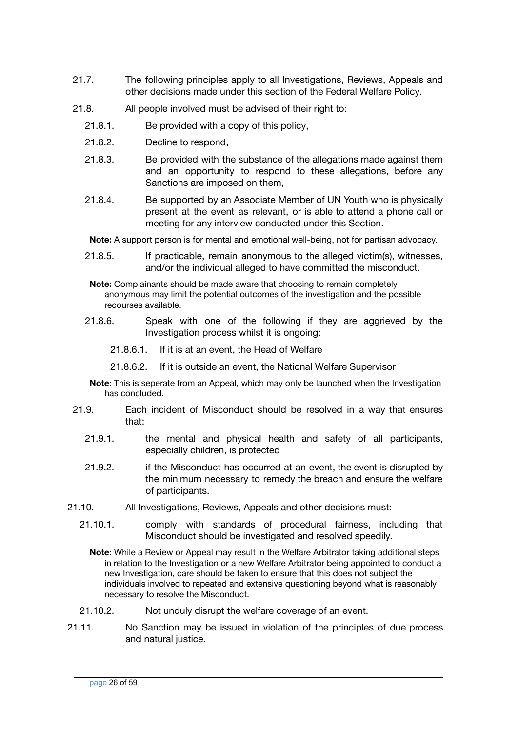- 21.7. The following principles apply to all Investigations, Reviews, Appeals and other decisions made under this section of the Federal Welfare Policy.
- 21.8. All people involved must be advised of their right to:
	- 21.8.1. Be provided with a copy of this policy,
	- 21.8.2. Decline to respond,
	- 21.8.3. Be provided with the substance of the allegations made against them and an opportunity to respond to these allegations, before any Sanctions are imposed on them,
	- 21.8.4. Be supported by an Associate Member of UN Youth who is physically present at the event as relevant, or is able to attend a phone call or meeting for any interview conducted under this Section.

**Note:** A support person is for mental and emotional well-being, not for partisan advocacy.

21.8.5. If practicable, remain anonymous to the alleged victim(s), witnesses, and/or the individual alleged to have committed the misconduct.

**Note:** Complainants should be made aware that choosing to remain completely anonymous may limit the potential outcomes of the investigation and the possible recourses available.

- 21.8.6. Speak with one of the following if they are aggrieved by the Investigation process whilst it is ongoing:
	- 21.8.6.1. If it is at an event, the Head of Welfare
	- 21.8.6.2. If it is outside an event, the National Welfare Supervisor
- **Note:** This is seperate from an Appeal, which may only be launched when the Investigation has concluded.
- 21.9. Each incident of Misconduct should be resolved in a way that ensures that:
	- 21.9.1. the mental and physical health and safety of all participants, especially children, is protected
	- 21.9.2. if the Misconduct has occurred at an event, the event is disrupted by the minimum necessary to remedy the breach and ensure the welfare of participants.
- 21.10. All Investigations, Reviews, Appeals and other decisions must:
	- 21.10.1. comply with standards of procedural fairness, including that Misconduct should be investigated and resolved speedily.

**Note:** While a Review or Appeal may result in the Welfare Arbitrator taking additional steps in relation to the Investigation or a new Welfare Arbitrator being appointed to conduct a new Investigation, care should be taken to ensure that this does not subject the individuals involved to repeated and extensive questioning beyond what is reasonably necessary to resolve the Misconduct.

- 21.10.2. Not unduly disrupt the welfare coverage of an event.
- 21.11. No Sanction may be issued in violation of the principles of due process and natural justice.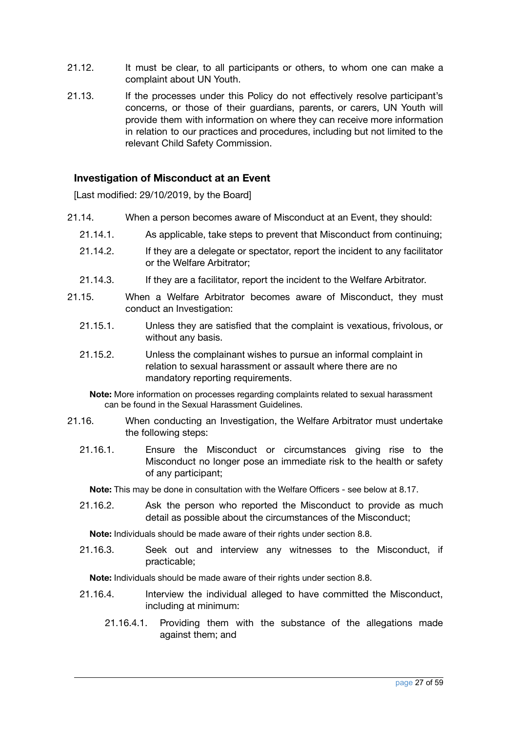- 21.12. It must be clear, to all participants or others, to whom one can make a complaint about UN Youth.
- 21.13. If the processes under this Policy do not effectively resolve participant's concerns, or those of their guardians, parents, or carers, UN Youth will provide them with information on where they can receive more information in relation to our practices and procedures, including but not limited to the relevant Child Safety Commission.

#### <span id="page-26-0"></span>**Investigation of Misconduct at an Event**

[Last modified: 29/10/2019, by the Board]

- 21.14. When a person becomes aware of Misconduct at an Event, they should:
	- 21.14.1. As applicable, take steps to prevent that Misconduct from continuing;
	- 21.14.2. If they are a delegate or spectator, report the incident to any facilitator or the Welfare Arbitrator;
	- 21.14.3. If they are a facilitator, report the incident to the Welfare Arbitrator.
- 21.15. When a Welfare Arbitrator becomes aware of Misconduct, they must conduct an Investigation:
	- 21.15.1. Unless they are satisfied that the complaint is vexatious, frivolous, or without any basis.
	- 21.15.2. Unless the complainant wishes to pursue an informal complaint in relation to sexual harassment or assault where there are no mandatory reporting requirements.

**Note:** More information on processes regarding complaints related to sexual harassment can be found in the Sexual Harassment Guidelines.

- 21.16. When conducting an Investigation, the Welfare Arbitrator must undertake the following steps:
	- 21.16.1. Ensure the Misconduct or circumstances giving rise to the Misconduct no longer pose an immediate risk to the health or safety of any participant;

**Note:** This may be done in consultation with the Welfare Officers - see below at 8.17.

21.16.2. Ask the person who reported the Misconduct to provide as much detail as possible about the circumstances of the Misconduct;

**Note:** Individuals should be made aware of their rights under section 8.8.

21.16.3. Seek out and interview any witnesses to the Misconduct, if practicable;

**Note:** Individuals should be made aware of their rights under section 8.8.

- 21.16.4. Interview the individual alleged to have committed the Misconduct, including at minimum:
	- 21.16.4.1. Providing them with the substance of the allegations made against them; and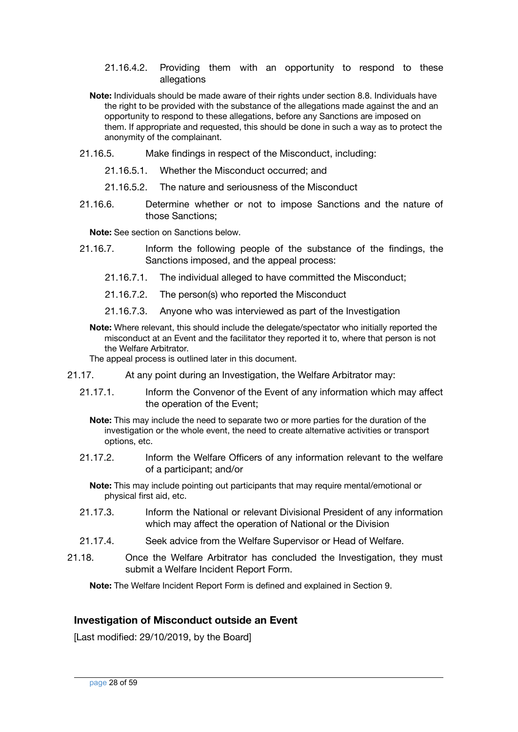#### 21.16.4.2. Providing them with an opportunity to respond to these allegations

- **Note:** Individuals should be made aware of their rights under section 8.8. Individuals have the right to be provided with the substance of the allegations made against the and an opportunity to respond to these allegations, before any Sanctions are imposed on them. If appropriate and requested, this should be done in such a way as to protect the anonymity of the complainant.
- 21.16.5. Make findings in respect of the Misconduct, including:
	- 21.16.5.1. Whether the Misconduct occurred; and
	- 21.16.5.2. The nature and seriousness of the Misconduct
- 21.16.6. Determine whether or not to impose Sanctions and the nature of those Sanctions;

**Note:** See section on Sanctions below.

- 21.16.7. Inform the following people of the substance of the findings, the Sanctions imposed, and the appeal process:
	- 21.16.7.1. The individual alleged to have committed the Misconduct;
	- 21.16.7.2. The person(s) who reported the Misconduct
	- 21.16.7.3. Anyone who was interviewed as part of the Investigation
	- **Note:** Where relevant, this should include the delegate/spectator who initially reported the misconduct at an Event and the facilitator they reported it to, where that person is not the Welfare Arbitrator.

The appeal process is outlined later in this document.

- 21.17. At any point during an Investigation, the Welfare Arbitrator may:
	- 21.17.1. Inform the Convenor of the Event of any information which may affect the operation of the Event;

**Note:** This may include the need to separate two or more parties for the duration of the investigation or the whole event, the need to create alternative activities or transport options, etc.

- 21.17.2. Inform the Welfare Officers of any information relevant to the welfare of a participant; and/or
	- **Note:** This may include pointing out participants that may require mental/emotional or physical first aid, etc.
- 21.17.3. Inform the National or relevant Divisional President of any information which may affect the operation of National or the Division
- 21.17.4. Seek advice from the Welfare Supervisor or Head of Welfare.
- 21.18. Once the Welfare Arbitrator has concluded the Investigation, they must submit a Welfare Incident Report Form.

**Note:** The Welfare Incident Report Form is defined and explained in Section 9.

#### <span id="page-27-0"></span>**Investigation of Misconduct outside an Event**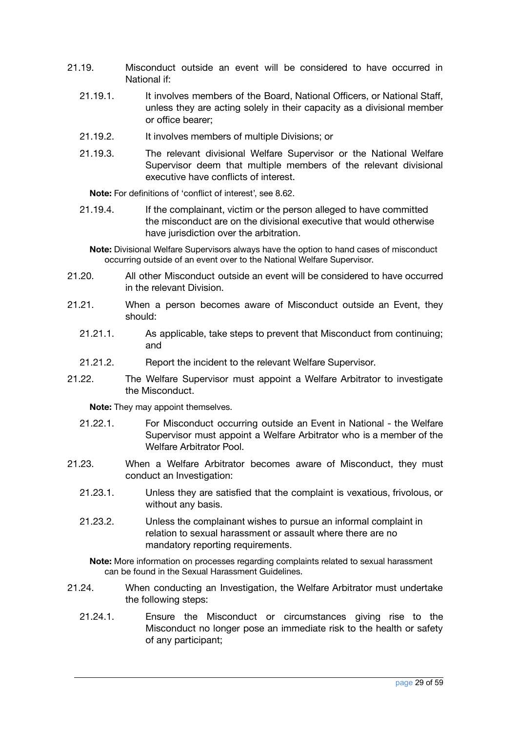- 21.19. Misconduct outside an event will be considered to have occurred in National if:
	- 21.19.1. It involves members of the Board, National Officers, or National Staff, unless they are acting solely in their capacity as a divisional member or office bearer;
	- 21.19.2. It involves members of multiple Divisions; or
	- 21.19.3. The relevant divisional Welfare Supervisor or the National Welfare Supervisor deem that multiple members of the relevant divisional executive have conflicts of interest.

**Note:** For definitions of 'conflict of interest', see 8.62.

21.19.4. If the complainant, victim or the person alleged to have committed the misconduct are on the divisional executive that would otherwise have jurisdiction over the arbitration.

**Note:** Divisional Welfare Supervisors always have the option to hand cases of misconduct occurring outside of an event over to the National Welfare Supervisor.

- 21.20. All other Misconduct outside an event will be considered to have occurred in the relevant Division.
- 21.21. When a person becomes aware of Misconduct outside an Event, they should:
	- 21.21.1. As applicable, take steps to prevent that Misconduct from continuing; and
	- 21.21.2. Report the incident to the relevant Welfare Supervisor.
- 21.22. The Welfare Supervisor must appoint a Welfare Arbitrator to investigate the Misconduct.

**Note:** They may appoint themselves.

- 21.22.1. For Misconduct occurring outside an Event in National the Welfare Supervisor must appoint a Welfare Arbitrator who is a member of the Welfare Arbitrator Pool.
- 21.23. When a Welfare Arbitrator becomes aware of Misconduct, they must conduct an Investigation:
	- 21.23.1. Unless they are satisfied that the complaint is vexatious, frivolous, or without any basis.
	- 21.23.2. Unless the complainant wishes to pursue an informal complaint in relation to sexual harassment or assault where there are no mandatory reporting requirements.

**Note:** More information on processes regarding complaints related to sexual harassment can be found in the Sexual Harassment Guidelines.

- 21.24. When conducting an Investigation, the Welfare Arbitrator must undertake the following steps:
	- 21.24.1. Ensure the Misconduct or circumstances giving rise to the Misconduct no longer pose an immediate risk to the health or safety of any participant;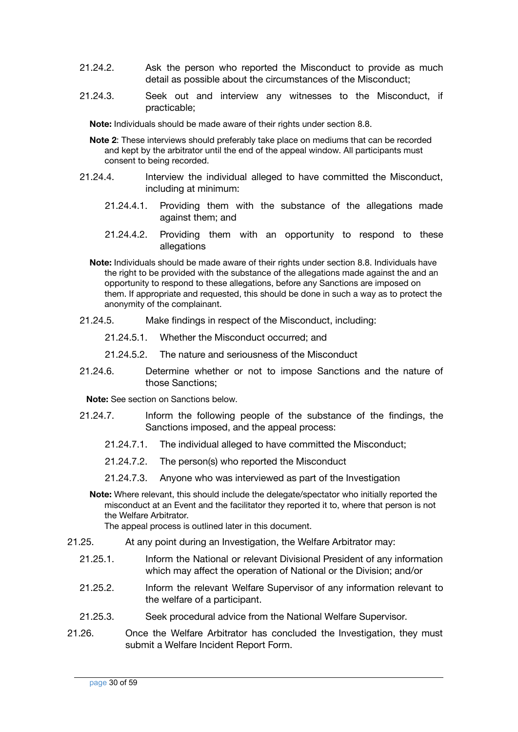- 21.24.2. Ask the person who reported the Misconduct to provide as much detail as possible about the circumstances of the Misconduct;
- 21.24.3. Seek out and interview any witnesses to the Misconduct, if practicable;

**Note:** Individuals should be made aware of their rights under section 8.8.

- **Note 2**: These interviews should preferably take place on mediums that can be recorded and kept by the arbitrator until the end of the appeal window. All participants must consent to being recorded.
- 21.24.4. Interview the individual alleged to have committed the Misconduct, including at minimum:
	- 21.24.4.1. Providing them with the substance of the allegations made against them; and
	- 21.24.4.2. Providing them with an opportunity to respond to these allegations

**Note:** Individuals should be made aware of their rights under section 8.8. Individuals have the right to be provided with the substance of the allegations made against the and an opportunity to respond to these allegations, before any Sanctions are imposed on them. If appropriate and requested, this should be done in such a way as to protect the anonymity of the complainant.

- 21.24.5. Make findings in respect of the Misconduct, including:
	- 21.24.5.1. Whether the Misconduct occurred; and
	- 21.24.5.2. The nature and seriousness of the Misconduct
- 21.24.6. Determine whether or not to impose Sanctions and the nature of those Sanctions;

**Note:** See section on Sanctions below.

- 21.24.7. Inform the following people of the substance of the findings, the Sanctions imposed, and the appeal process:
	- 21.24.7.1. The individual alleged to have committed the Misconduct;
	- 21.24.7.2. The person(s) who reported the Misconduct
	- 21.24.7.3. Anyone who was interviewed as part of the Investigation
	- **Note:** Where relevant, this should include the delegate/spectator who initially reported the misconduct at an Event and the facilitator they reported it to, where that person is not the Welfare Arbitrator.

The appeal process is outlined later in this document.

- 21.25. At any point during an Investigation, the Welfare Arbitrator may:
	- 21.25.1. Inform the National or relevant Divisional President of any information which may affect the operation of National or the Division; and/or
	- 21.25.2. Inform the relevant Welfare Supervisor of any information relevant to the welfare of a participant.
	- 21.25.3. Seek procedural advice from the National Welfare Supervisor.
- 21.26. Once the Welfare Arbitrator has concluded the Investigation, they must submit a Welfare Incident Report Form.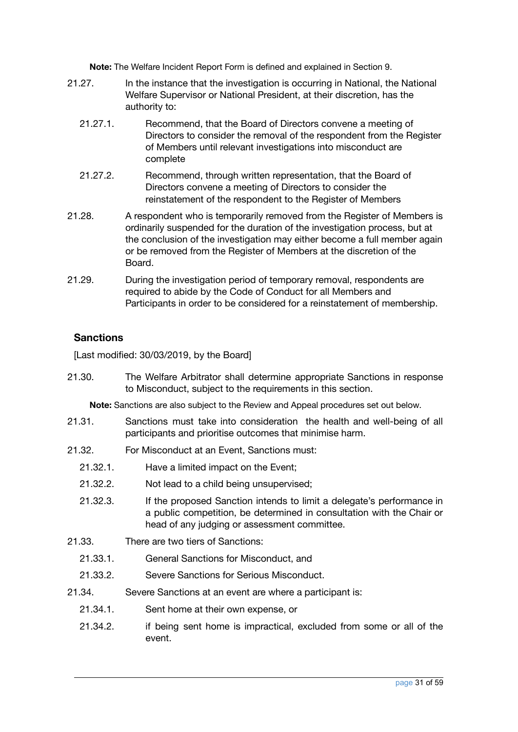**Note:** The Welfare Incident Report Form is defined and explained in Section 9.

- 21.27. In the instance that the investigation is occurring in National, the National Welfare Supervisor or National President, at their discretion, has the authority to:
	- 21.27.1. Recommend, that the Board of Directors convene a meeting of Directors to consider the removal of the respondent from the Register of Members until relevant investigations into misconduct are complete
	- 21.27.2. Recommend, through written representation, that the Board of Directors convene a meeting of Directors to consider the reinstatement of the respondent to the Register of Members
- 21.28. A respondent who is temporarily removed from the Register of Members is ordinarily suspended for the duration of the investigation process, but at the conclusion of the investigation may either become a full member again or be removed from the Register of Members at the discretion of the Board.
- 21.29. During the investigation period of temporary removal, respondents are required to abide by the Code of Conduct for all Members and Participants in order to be considered for a reinstatement of membership.

#### <span id="page-30-0"></span>**Sanctions**

[Last modified: 30/03/2019, by the Board]

21.30. The Welfare Arbitrator shall determine appropriate Sanctions in response to Misconduct, subject to the requirements in this section.

**Note:** Sanctions are also subject to the Review and Appeal procedures set out below.

- 21.31. Sanctions must take into consideration the health and well-being of all participants and prioritise outcomes that minimise harm.
- 21.32. For Misconduct at an Event, Sanctions must:
	- 21.32.1. Have a limited impact on the Event;
	- 21.32.2. Not lead to a child being unsupervised;
	- 21.32.3. If the proposed Sanction intends to limit a delegate's performance in a public competition, be determined in consultation with the Chair or head of any judging or assessment committee.
- 21.33. There are two tiers of Sanctions:
	- 21.33.1. General Sanctions for Misconduct, and
	- 21.33.2. Severe Sanctions for Serious Misconduct.
- 21.34. Severe Sanctions at an event are where a participant is:
	- 21.34.1. Sent home at their own expense, or
	- 21.34.2. if being sent home is impractical, excluded from some or all of the event.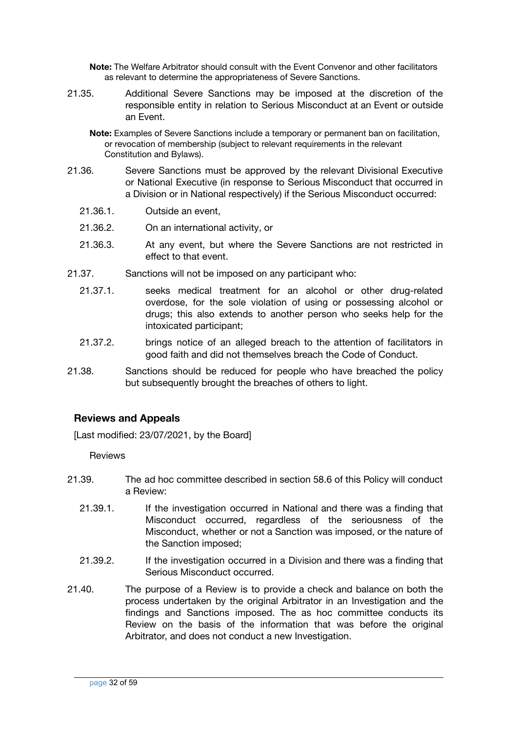**Note:** The Welfare Arbitrator should consult with the Event Convenor and other facilitators as relevant to determine the appropriateness of Severe Sanctions.

21.35. Additional Severe Sanctions may be imposed at the discretion of the responsible entity in relation to Serious Misconduct at an Event or outside an Event.

**Note:** Examples of Severe Sanctions include a temporary or permanent ban on facilitation, or revocation of membership (subject to relevant requirements in the relevant Constitution and Bylaws).

- 21.36. Severe Sanctions must be approved by the relevant Divisional Executive or National Executive (in response to Serious Misconduct that occurred in a Division or in National respectively) if the Serious Misconduct occurred:
	- 21.36.1. Outside an event,
	- 21.36.2. On an international activity, or
	- 21.36.3. At any event, but where the Severe Sanctions are not restricted in effect to that event.
- 21.37. Sanctions will not be imposed on any participant who:
	- 21.37.1. seeks medical treatment for an alcohol or other drug-related overdose, for the sole violation of using or possessing alcohol or drugs; this also extends to another person who seeks help for the intoxicated participant;
	- 21.37.2. brings notice of an alleged breach to the attention of facilitators in good faith and did not themselves breach the Code of Conduct.
- 21.38. Sanctions should be reduced for people who have breached the policy but subsequently brought the breaches of others to light.

#### <span id="page-31-0"></span>**Reviews and Appeals**

[Last modified: 23/07/2021, by the Board]

**Reviews** 

- 21.39. The ad hoc committee described in section 58.6 of this Policy will conduct a Review:
	- 21.39.1. If the investigation occurred in National and there was a finding that Misconduct occurred, regardless of the seriousness of the Misconduct, whether or not a Sanction was imposed, or the nature of the Sanction imposed;
	- 21.39.2. If the investigation occurred in a Division and there was a finding that Serious Misconduct occurred.
- 21.40. The purpose of a Review is to provide a check and balance on both the process undertaken by the original Arbitrator in an Investigation and the findings and Sanctions imposed. The as hoc committee conducts its Review on the basis of the information that was before the original Arbitrator, and does not conduct a new Investigation.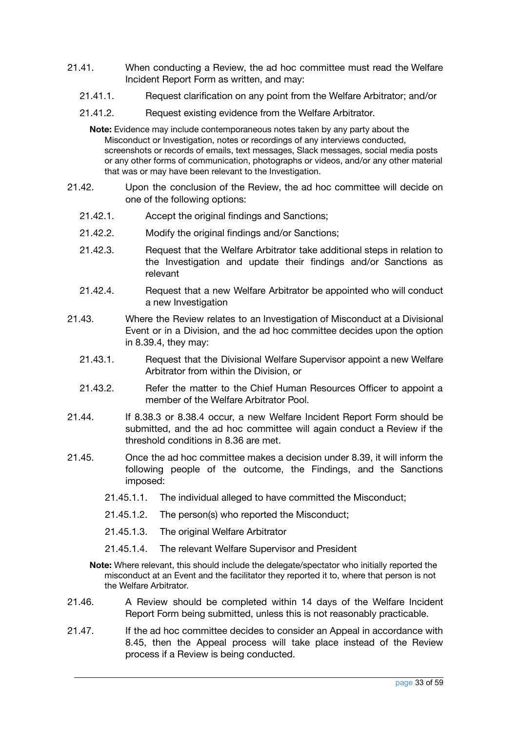- 21.41. When conducting a Review, the ad hoc committee must read the Welfare Incident Report Form as written, and may:
	- 21.41.1. Request clarification on any point from the Welfare Arbitrator; and/or
	- 21.41.2. Request existing evidence from the Welfare Arbitrator.

**Note:** Evidence may include contemporaneous notes taken by any party about the Misconduct or Investigation, notes or recordings of any interviews conducted, screenshots or records of emails, text messages, Slack messages, social media posts or any other forms of communication, photographs or videos, and/or any other material that was or may have been relevant to the Investigation.

- 21.42. Upon the conclusion of the Review, the ad hoc committee will decide on one of the following options:
	- 21.42.1. Accept the original findings and Sanctions;
	- 21.42.2. Modify the original findings and/or Sanctions;
	- 21.42.3. Request that the Welfare Arbitrator take additional steps in relation to the Investigation and update their findings and/or Sanctions as relevant
	- 21.42.4. Request that a new Welfare Arbitrator be appointed who will conduct a new Investigation
- 21.43. Where the Review relates to an Investigation of Misconduct at a Divisional Event or in a Division, and the ad hoc committee decides upon the option in 8.39.4, they may:
	- 21.43.1. Request that the Divisional Welfare Supervisor appoint a new Welfare Arbitrator from within the Division, or
	- 21.43.2. Refer the matter to the Chief Human Resources Officer to appoint a member of the Welfare Arbitrator Pool.
- 21.44. If 8.38.3 or 8.38.4 occur, a new Welfare Incident Report Form should be submitted, and the ad hoc committee will again conduct a Review if the threshold conditions in 8.36 are met.
- 21.45. Once the ad hoc committee makes a decision under 8.39, it will inform the following people of the outcome, the Findings, and the Sanctions imposed:
	- 21.45.1.1. The individual alleged to have committed the Misconduct;
	- 21.45.1.2. The person(s) who reported the Misconduct;
	- 21.45.1.3. The original Welfare Arbitrator
	- 21.45.1.4. The relevant Welfare Supervisor and President
	- **Note:** Where relevant, this should include the delegate/spectator who initially reported the misconduct at an Event and the facilitator they reported it to, where that person is not the Welfare Arbitrator.
- 21.46. A Review should be completed within 14 days of the Welfare Incident Report Form being submitted, unless this is not reasonably practicable.
- 21.47. If the ad hoc committee decides to consider an Appeal in accordance with 8.45, then the Appeal process will take place instead of the Review process if a Review is being conducted.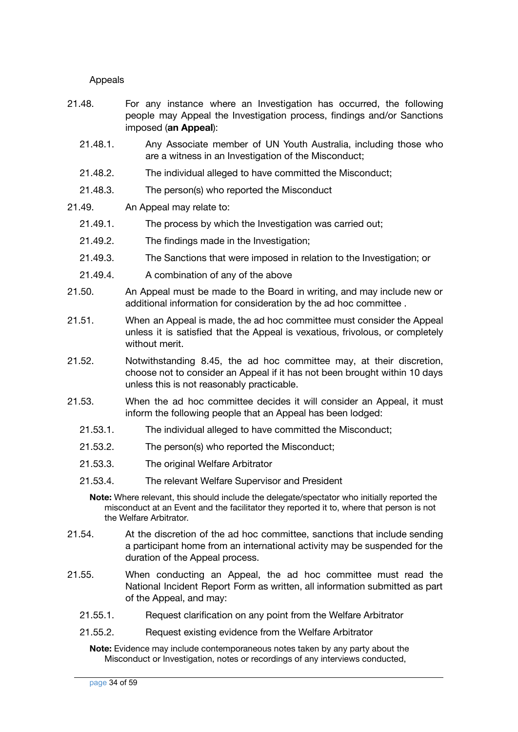Appeals

- 21.48. For any instance where an Investigation has occurred, the following people may Appeal the Investigation process, findings and/or Sanctions imposed (**an Appeal**):
	- 21.48.1. Any Associate member of UN Youth Australia, including those who are a witness in an Investigation of the Misconduct;
	- 21.48.2. The individual alleged to have committed the Misconduct;
	- 21.48.3. The person(s) who reported the Misconduct
- 21.49. An Appeal may relate to:
	- 21.49.1. The process by which the Investigation was carried out;
	- 21.49.2. The findings made in the Investigation;
	- 21.49.3. The Sanctions that were imposed in relation to the Investigation; or
	- 21.49.4. A combination of any of the above
- 21.50. An Appeal must be made to the Board in writing, and may include new or additional information for consideration by the ad hoc committee .
- 21.51. When an Appeal is made, the ad hoc committee must consider the Appeal unless it is satisfied that the Appeal is vexatious, frivolous, or completely without merit.
- 21.52. Notwithstanding 8.45, the ad hoc committee may, at their discretion, choose not to consider an Appeal if it has not been brought within 10 days unless this is not reasonably practicable.
- 21.53. When the ad hoc committee decides it will consider an Appeal, it must inform the following people that an Appeal has been lodged:
	- 21.53.1. The individual alleged to have committed the Misconduct;
	- 21.53.2. The person(s) who reported the Misconduct;
	- 21.53.3. The original Welfare Arbitrator
	- 21.53.4. The relevant Welfare Supervisor and President

**Note:** Where relevant, this should include the delegate/spectator who initially reported the misconduct at an Event and the facilitator they reported it to, where that person is not the Welfare Arbitrator.

- 21.54. At the discretion of the ad hoc committee, sanctions that include sending a participant home from an international activity may be suspended for the duration of the Appeal process.
- 21.55. When conducting an Appeal, the ad hoc committee must read the National Incident Report Form as written, all information submitted as part of the Appeal, and may:
	- 21.55.1. Request clarification on any point from the Welfare Arbitrator
	- 21.55.2. Request existing evidence from the Welfare Arbitrator

**Note:** Evidence may include contemporaneous notes taken by any party about the Misconduct or Investigation, notes or recordings of any interviews conducted,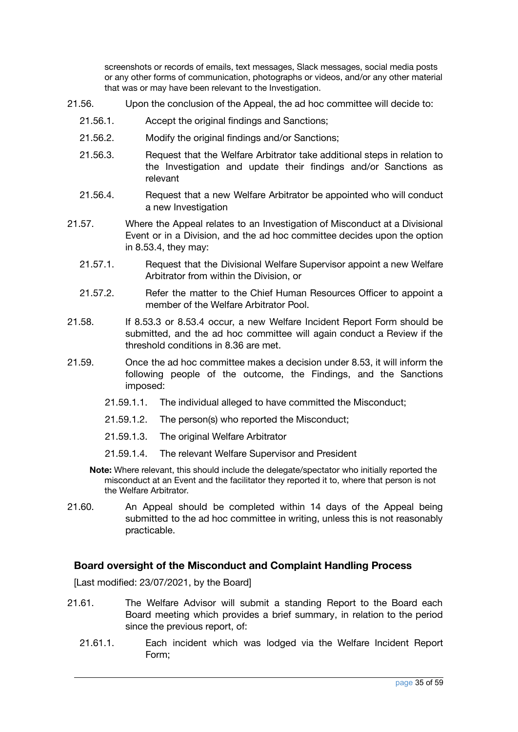screenshots or records of emails, text messages, Slack messages, social media posts or any other forms of communication, photographs or videos, and/or any other material that was or may have been relevant to the Investigation.

- 21.56. Upon the conclusion of the Appeal, the ad hoc committee will decide to:
	- 21.56.1. Accept the original findings and Sanctions;
	- 21.56.2. Modify the original findings and/or Sanctions;
	- 21.56.3. Request that the Welfare Arbitrator take additional steps in relation to the Investigation and update their findings and/or Sanctions as relevant
	- 21.56.4. Request that a new Welfare Arbitrator be appointed who will conduct a new Investigation
- 21.57. Where the Appeal relates to an Investigation of Misconduct at a Divisional Event or in a Division, and the ad hoc committee decides upon the option in 8.53.4, they may:
	- 21.57.1. Request that the Divisional Welfare Supervisor appoint a new Welfare Arbitrator from within the Division, or
	- 21.57.2. Refer the matter to the Chief Human Resources Officer to appoint a member of the Welfare Arbitrator Pool.
- 21.58. If 8.53.3 or 8.53.4 occur, a new Welfare Incident Report Form should be submitted, and the ad hoc committee will again conduct a Review if the threshold conditions in 8.36 are met.
- 21.59. Once the ad hoc committee makes a decision under 8.53, it will inform the following people of the outcome, the Findings, and the Sanctions imposed:
	- 21.59.1.1. The individual alleged to have committed the Misconduct;
	- 21.59.1.2. The person(s) who reported the Misconduct;
	- 21.59.1.3. The original Welfare Arbitrator
	- 21.59.1.4. The relevant Welfare Supervisor and President
	- **Note:** Where relevant, this should include the delegate/spectator who initially reported the misconduct at an Event and the facilitator they reported it to, where that person is not the Welfare Arbitrator.
- 21.60. An Appeal should be completed within 14 days of the Appeal being submitted to the ad hoc committee in writing, unless this is not reasonably practicable.

#### <span id="page-34-0"></span>**Board oversight of the Misconduct and Complaint Handling Process**

- 21.61. The Welfare Advisor will submit a standing Report to the Board each Board meeting which provides a brief summary, in relation to the period since the previous report, of:
	- 21.61.1. Each incident which was lodged via the Welfare Incident Report Form;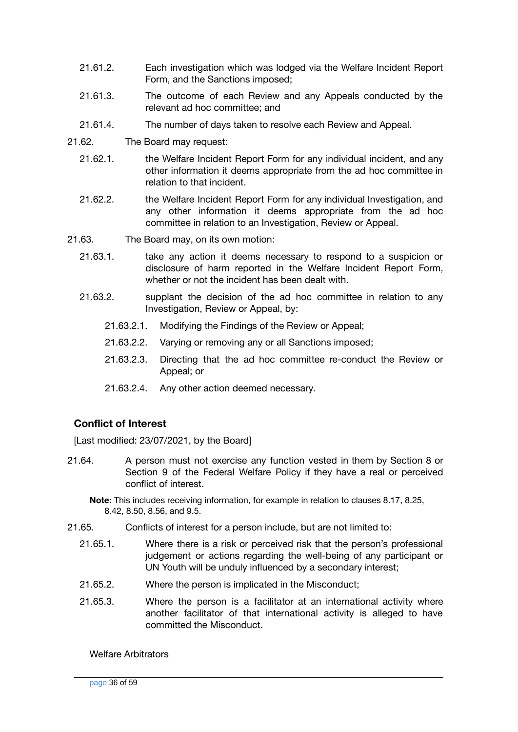- 21.61.2. Each investigation which was lodged via the Welfare Incident Report Form, and the Sanctions imposed;
- 21.61.3. The outcome of each Review and any Appeals conducted by the relevant ad hoc committee; and
- 21.61.4. The number of days taken to resolve each Review and Appeal.
- 21.62. The Board may request:
	- 21.62.1. the Welfare Incident Report Form for any individual incident, and any other information it deems appropriate from the ad hoc committee in relation to that incident.
	- 21.62.2. the Welfare Incident Report Form for any individual Investigation, and any other information it deems appropriate from the ad hoc committee in relation to an Investigation, Review or Appeal.
- 21.63. The Board may, on its own motion:
	- 21.63.1. take any action it deems necessary to respond to a suspicion or disclosure of harm reported in the Welfare Incident Report Form, whether or not the incident has been dealt with.
	- 21.63.2. supplant the decision of the ad hoc committee in relation to any Investigation, Review or Appeal, by:
		- 21.63.2.1. Modifying the Findings of the Review or Appeal;
		- 21.63.2.2. Varying or removing any or all Sanctions imposed;
		- 21.63.2.3. Directing that the ad hoc committee re-conduct the Review or Appeal; or
		- 21.63.2.4. Any other action deemed necessary.

#### <span id="page-35-0"></span>**Conflict of Interest**

[Last modified: 23/07/2021, by the Board]

21.64. A person must not exercise any function vested in them by Section 8 or Section 9 of the Federal Welfare Policy if they have a real or perceived conflict of interest.

**Note:** This includes receiving information, for example in relation to clauses 8.17, 8.25, 8.42, 8.50, 8.56, and 9.5.

- 21.65. Conflicts of interest for a person include, but are not limited to:
	- 21.65.1. Where there is a risk or perceived risk that the person's professional judgement or actions regarding the well-being of any participant or UN Youth will be unduly influenced by a secondary interest;
	- 21.65.2. Where the person is implicated in the Misconduct;
	- 21.65.3. Where the person is a facilitator at an international activity where another facilitator of that international activity is alleged to have committed the Misconduct.

Welfare Arbitrators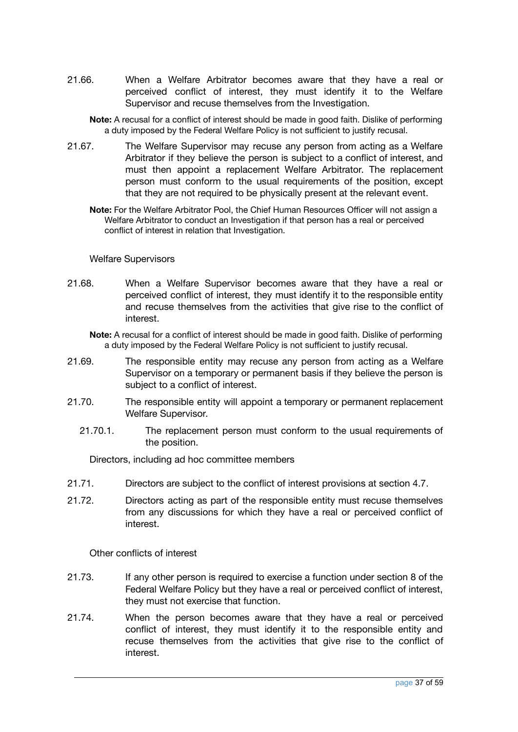- 21.66. When a Welfare Arbitrator becomes aware that they have a real or perceived conflict of interest, they must identify it to the Welfare Supervisor and recuse themselves from the Investigation.
	- **Note:** A recusal for a conflict of interest should be made in good faith. Dislike of performing a duty imposed by the Federal Welfare Policy is not sufficient to justify recusal.
- 21.67. The Welfare Supervisor may recuse any person from acting as a Welfare Arbitrator if they believe the person is subject to a conflict of interest, and must then appoint a replacement Welfare Arbitrator. The replacement person must conform to the usual requirements of the position, except that they are not required to be physically present at the relevant event.
	- **Note:** For the Welfare Arbitrator Pool, the Chief Human Resources Officer will not assign a Welfare Arbitrator to conduct an Investigation if that person has a real or perceived conflict of interest in relation that Investigation.

#### Welfare Supervisors

21.68. When a Welfare Supervisor becomes aware that they have a real or perceived conflict of interest, they must identify it to the responsible entity and recuse themselves from the activities that give rise to the conflict of interest.

**Note:** A recusal for a conflict of interest should be made in good faith. Dislike of performing a duty imposed by the Federal Welfare Policy is not sufficient to justify recusal.

- 21.69. The responsible entity may recuse any person from acting as a Welfare Supervisor on a temporary or permanent basis if they believe the person is subject to a conflict of interest.
- 21.70. The responsible entity will appoint a temporary or permanent replacement Welfare Supervisor.
	- 21.70.1. The replacement person must conform to the usual requirements of the position.

Directors, including ad hoc committee members

- 21.71. Directors are subject to the conflict of interest provisions at section 4.7.
- 21.72. Directors acting as part of the responsible entity must recuse themselves from any discussions for which they have a real or perceived conflict of interest.

Other conflicts of interest

- 21.73. If any other person is required to exercise a function under section 8 of the Federal Welfare Policy but they have a real or perceived conflict of interest, they must not exercise that function.
- 21.74. When the person becomes aware that they have a real or perceived conflict of interest, they must identify it to the responsible entity and recuse themselves from the activities that give rise to the conflict of interest.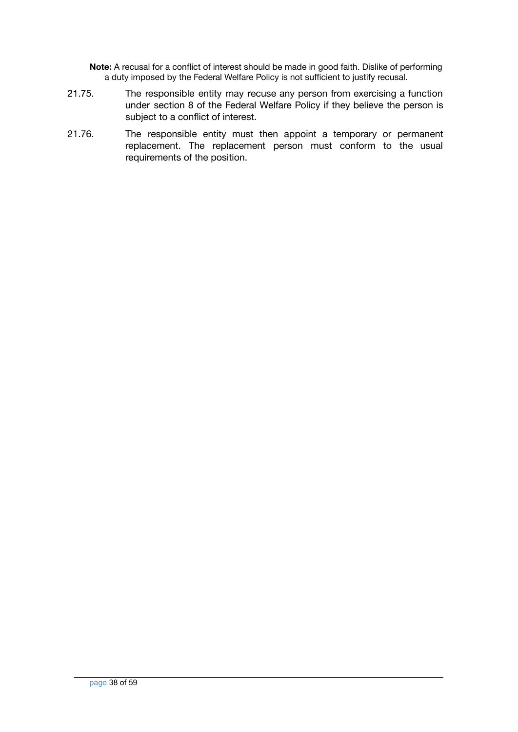**Note:** A recusal for a conflict of interest should be made in good faith. Dislike of performing a duty imposed by the Federal Welfare Policy is not sufficient to justify recusal.

- 21.75. The responsible entity may recuse any person from exercising a function under section 8 of the Federal Welfare Policy if they believe the person is subject to a conflict of interest.
- 21.76. The responsible entity must then appoint a temporary or permanent replacement. The replacement person must conform to the usual requirements of the position.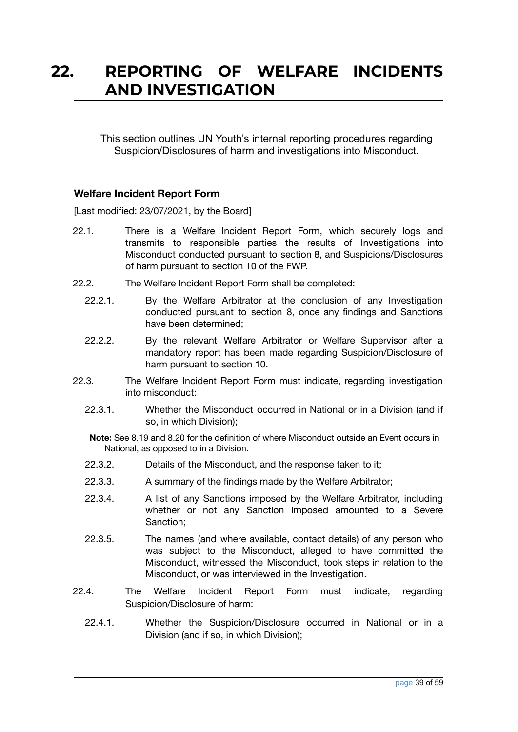### <span id="page-38-0"></span>**22. REPORTING OF WELFARE INCIDENTS AND INVESTIGATION**

This section outlines UN Youth's internal reporting procedures regarding Suspicion/Disclosures of harm and investigations into Misconduct.

#### <span id="page-38-1"></span>**Welfare Incident Report Form**

[Last modified: 23/07/2021, by the Board]

- 22.1. There is a Welfare Incident Report Form, which securely logs and transmits to responsible parties the results of Investigations into Misconduct conducted pursuant to section 8, and Suspicions/Disclosures of harm pursuant to section 10 of the FWP.
- 22.2. The Welfare Incident Report Form shall be completed:
	- 22.2.1. By the Welfare Arbitrator at the conclusion of any Investigation conducted pursuant to section 8, once any findings and Sanctions have been determined;
	- 22.2.2. By the relevant Welfare Arbitrator or Welfare Supervisor after a mandatory report has been made regarding Suspicion/Disclosure of harm pursuant to section 10.
- 22.3. The Welfare Incident Report Form must indicate, regarding investigation into misconduct:
	- 22.3.1. Whether the Misconduct occurred in National or in a Division (and if so, in which Division);

**Note:** See 8.19 and 8.20 for the definition of where Misconduct outside an Event occurs in National, as opposed to in a Division.

- 22.3.2. Details of the Misconduct, and the response taken to it;
- 22.3.3. A summary of the findings made by the Welfare Arbitrator;
- 22.3.4. A list of any Sanctions imposed by the Welfare Arbitrator, including whether or not any Sanction imposed amounted to a Severe Sanction;
- 22.3.5. The names (and where available, contact details) of any person who was subject to the Misconduct, alleged to have committed the Misconduct, witnessed the Misconduct, took steps in relation to the Misconduct, or was interviewed in the Investigation.
- 22.4. The Welfare Incident Report Form must indicate, regarding Suspicion/Disclosure of harm:
	- 22.4.1. Whether the Suspicion/Disclosure occurred in National or in a Division (and if so, in which Division);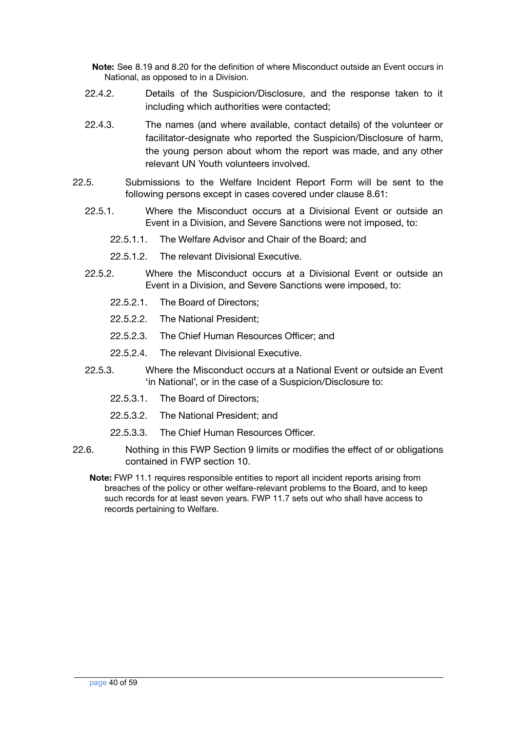**Note:** See 8.19 and 8.20 for the definition of where Misconduct outside an Event occurs in National, as opposed to in a Division.

- 22.4.2. Details of the Suspicion/Disclosure, and the response taken to it including which authorities were contacted;
- 22.4.3. The names (and where available, contact details) of the volunteer or facilitator-designate who reported the Suspicion/Disclosure of harm, the young person about whom the report was made, and any other relevant UN Youth volunteers involved.
- 22.5. Submissions to the Welfare Incident Report Form will be sent to the following persons except in cases covered under clause 8.61:
	- 22.5.1. Where the Misconduct occurs at a Divisional Event or outside an Event in a Division, and Severe Sanctions were not imposed, to:
		- 22.5.1.1. The Welfare Advisor and Chair of the Board; and
		- 22.5.1.2. The relevant Divisional Executive.
	- 22.5.2. Where the Misconduct occurs at a Divisional Event or outside an Event in a Division, and Severe Sanctions were imposed, to:
		- 22.5.2.1. The Board of Directors;
		- 22.5.2.2. The National President;
		- 22.5.2.3. The Chief Human Resources Officer; and
		- 22.5.2.4. The relevant Divisional Executive.
	- 22.5.3. Where the Misconduct occurs at a National Event or outside an Event 'in National', or in the case of a Suspicion/Disclosure to:
		- 22.5.3.1. The Board of Directors;
		- 22.5.3.2. The National President; and
		- 22.5.3.3. The Chief Human Resources Officer.
- 22.6. Nothing in this FWP Section 9 limits or modifies the effect of or obligations contained in FWP section 10.
	- **Note:** FWP 11.1 requires responsible entities to report all incident reports arising from breaches of the policy or other welfare-relevant problems to the Board, and to keep such records for at least seven years. FWP 11.7 sets out who shall have access to records pertaining to Welfare.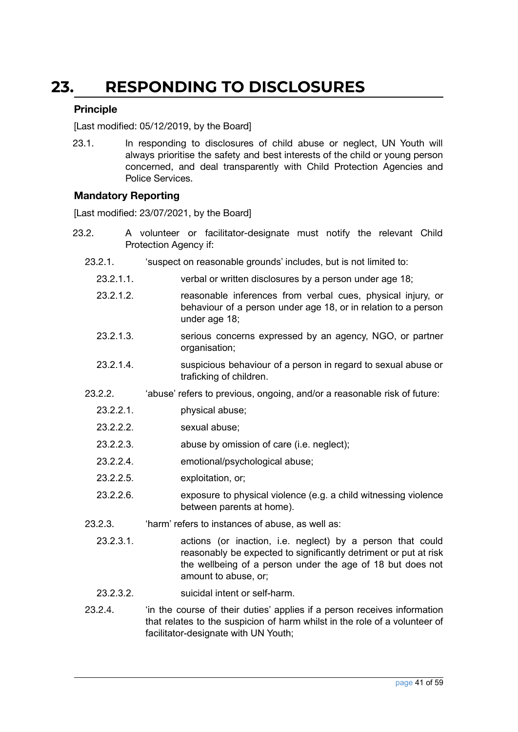### <span id="page-40-0"></span>**23. RESPONDING TO DISCLOSURES**

#### <span id="page-40-1"></span>**Principle**

[Last modified: 05/12/2019, by the Board]

23.1. In responding to disclosures of child abuse or neglect, UN Youth will always prioritise the safety and best interests of the child or young person concerned, and deal transparently with Child Protection Agencies and Police Services.

#### <span id="page-40-2"></span>**Mandatory Reporting**

- 23.2. A volunteer or facilitator-designate must notify the relevant Child Protection Agency if:
	- 23.2.1. 'suspect on reasonable grounds' includes, but is not limited to:
		- 23.2.1.1. verbal or written disclosures by a person under age 18;
		- 23.2.1.2. reasonable inferences from verbal cues, physical injury, or behaviour of a person under age 18, or in relation to a person under age 18;
		- 23.2.1.3. serious concerns expressed by an agency, NGO, or partner organisation;
		- 23.2.1.4. suspicious behaviour of a person in regard to sexual abuse or traficking of children.
	- 23.2.2. 'abuse' refers to previous, ongoing, and/or a reasonable risk of future:
		- 23.2.2.1. physical abuse;
		- 23.2.2.2. sexual abuse;
		- 23.2.2.3. abuse by omission of care (i.e. neglect);
		- 23.2.2.4. emotional/psychological abuse;
		- 23.2.2.5. exploitation, or;
		- 23.2.2.6. exposure to physical violence (e.g. a child witnessing violence between parents at home).
	- 23.2.3. 'harm' refers to instances of abuse, as well as:
		- 23.2.3.1. actions (or inaction, i.e. neglect) by a person that could reasonably be expected to significantly detriment or put at risk the wellbeing of a person under the age of 18 but does not amount to abuse, or;
		- 23.2.3.2. suicidal intent or self-harm.
	- 23.2.4. 'in the course of their duties' applies if a person receives information that relates to the suspicion of harm whilst in the role of a volunteer of facilitator-designate with UN Youth;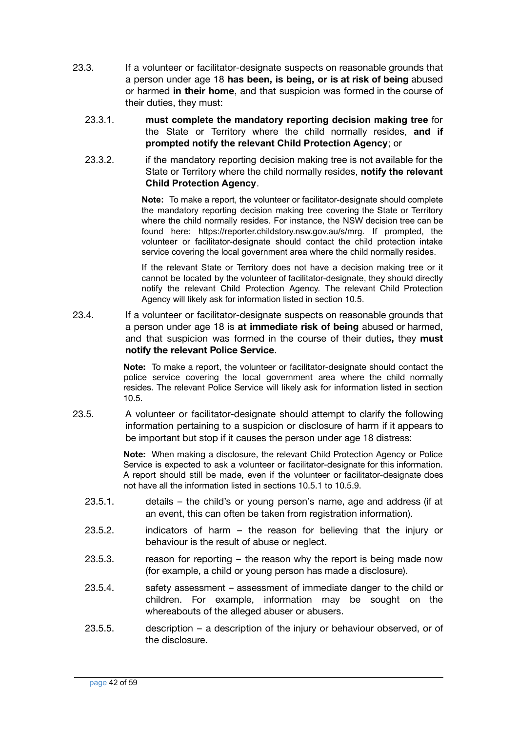- 23.3. If a volunteer or facilitator-designate suspects on reasonable grounds that a person under age 18 **has been, is being, or is at risk of being** abused or harmed **in their home**, and that suspicion was formed in the course of their duties, they must:
	- 23.3.1. **must complete the mandatory reporting decision making tree** for the State or Territory where the child normally resides, **and if prompted notify the relevant Child Protection Agency**; or
	- 23.3.2. if the mandatory reporting decision making tree is not available for the State or Territory where the child normally resides, **notify the relevant Child Protection Agency**.

**Note:** To make a report, the volunteer or facilitator-designate should complete the mandatory reporting decision making tree covering the State or Territory where the child normally resides. For instance, the NSW decision tree can be found here: [https://reporter.childstory.nsw.gov.au/s/mrg.](https://reporter.childstory.nsw.gov.au/s/mrg) If prompted, the volunteer or facilitator-designate should contact the child protection intake service covering the local government area where the child normally resides.

If the relevant State or Territory does not have a decision making tree or it cannot be located by the volunteer of facilitator-designate, they should directly notify the relevant Child Protection Agency. The relevant Child Protection Agency will likely ask for information listed in section 10.5.

23.4. If a volunteer or facilitator-designate suspects on reasonable grounds that a person under age 18 is **at immediate risk of being** abused or harmed, and that suspicion was formed in the course of their duties**,** they **must notify the relevant Police Service**.

> **Note:** To make a report, the volunteer or facilitator-designate should contact the police service covering the local government area where the child normally resides. The relevant Police Service will likely ask for information listed in section 10.5.

23.5. A volunteer or facilitator-designate should attempt to clarify the following information pertaining to a suspicion or disclosure of harm if it appears to be important but stop if it causes the person under age 18 distress:

> **Note:** When making a disclosure, the relevant Child Protection Agency or Police Service is expected to ask a volunteer or facilitator-designate for this information. A report should still be made, even if the volunteer or facilitator-designate does not have all the information listed in sections 10.5.1 to 10.5.9.

- 23.5.1. details the child's or young person's name, age and address (if at an event, this can often be taken from registration information).
- 23.5.2. indicators of harm the reason for believing that the injury or behaviour is the result of abuse or neglect.
- 23.5.3. reason for reporting  $-$  the reason why the report is being made now (for example, a child or young person has made a disclosure).
- 23.5.4. safety assessment assessment of immediate danger to the child or children. For example, information may be sought on the whereabouts of the alleged abuser or abusers.
- 23.5.5. description a description of the injury or behaviour observed, or of the disclosure.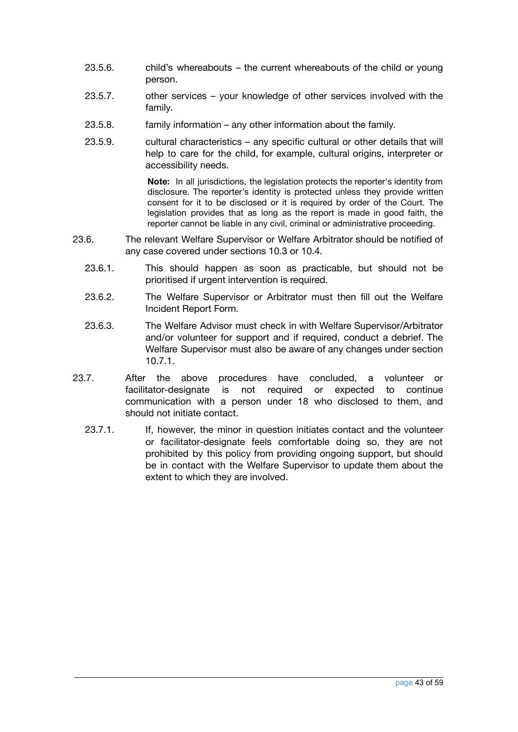- 23.5.6. child's whereabouts the current whereabouts of the child or young person.
- 23.5.7. other services your knowledge of other services involved with the family.
- 23.5.8. family information any other information about the family.
- 23.5.9. cultural characteristics any specific cultural or other details that will help to care for the child, for example, cultural origins, interpreter or accessibility needs.

**Note:** In all jurisdictions, the legislation protects the reporter's identity from disclosure. The reporter's identity is protected unless they provide written consent for it to be disclosed or it is required by order of the Court. The legislation provides that as long as the report is made in good faith, the reporter cannot be liable in any civil, criminal or administrative proceeding.

- 23.6. The relevant Welfare Supervisor or Welfare Arbitrator should be notified of any case covered under sections 10.3 or 10.4.
	- 23.6.1. This should happen as soon as practicable, but should not be prioritised if urgent intervention is required.
	- 23.6.2. The Welfare Supervisor or Arbitrator must then fill out the Welfare Incident Report Form.
	- 23.6.3. The Welfare Advisor must check in with Welfare Supervisor/Arbitrator and/or volunteer for support and if required, conduct a debrief. The Welfare Supervisor must also be aware of any changes under section 10.7.1.
- 23.7. After the above procedures have concluded, a volunteer or facilitator-designate is not required or expected to continue communication with a person under 18 who disclosed to them, and should not initiate contact.
	- 23.7.1. If, however, the minor in question initiates contact and the volunteer or facilitator-designate feels comfortable doing so, they are not prohibited by this policy from providing ongoing support, but should be in contact with the Welfare Supervisor to update them about the extent to which they are involved.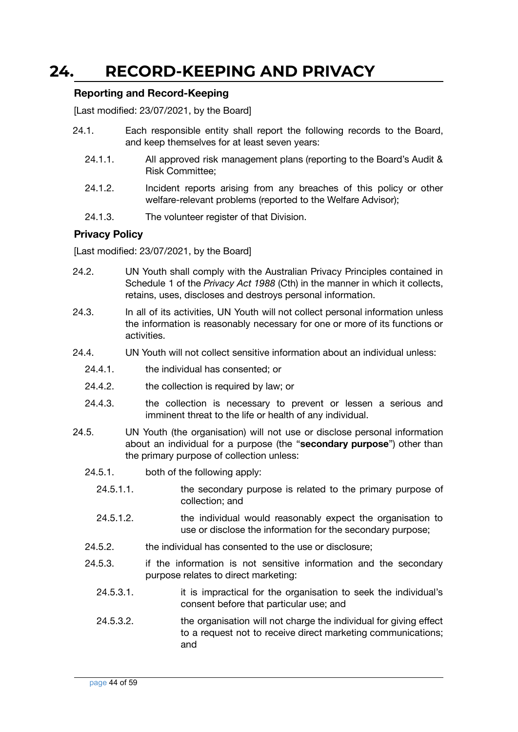### <span id="page-43-0"></span>**24. RECORD-KEEPING AND PRIVACY**

#### <span id="page-43-1"></span>**Reporting and Record-Keeping**

[Last modified: 23/07/2021, by the Board]

- 24.1. Each responsible entity shall report the following records to the Board, and keep themselves for at least seven years:
	- 24.1.1. All approved risk management plans (reporting to the Board's Audit & Risk Committee;
	- 24.1.2. Incident reports arising from any breaches of this policy or other welfare-relevant problems (reported to the Welfare Advisor);
	- 24.1.3. The volunteer register of that Division.

#### <span id="page-43-2"></span>**Privacy Policy**

- 24.2. UN Youth shall comply with the Australian Privacy Principles contained in Schedule 1 of the *Privacy Act 1988* (Cth) in the manner in which it collects, retains, uses, discloses and destroys personal information.
- 24.3. In all of its activities, UN Youth will not collect personal information unless the information is reasonably necessary for one or more of its functions or activities.
- 24.4. UN Youth will not collect sensitive information about an individual unless:
	- 24.4.1. the individual has consented; or
	- 24.4.2. the collection is required by law; or
	- 24.4.3. the collection is necessary to prevent or lessen a serious and imminent threat to the life or health of any individual.
- 24.5. UN Youth (the organisation) will not use or disclose personal information about an individual for a purpose (the "**secondary purpose**") other than the primary purpose of collection unless:
	- 24.5.1. both of the following apply:
		- 24.5.1.1. the secondary purpose is related to the primary purpose of collection; and
		- 24.5.1.2. the individual would reasonably expect the organisation to use or disclose the information for the secondary purpose;
	- 24.5.2. the individual has consented to the use or disclosure;
	- 24.5.3. if the information is not sensitive information and the secondary purpose relates to direct marketing:
		- 24.5.3.1. it is impractical for the organisation to seek the individual's consent before that particular use; and
		- 24.5.3.2. the organisation will not charge the individual for giving effect to a request not to receive direct marketing communications; and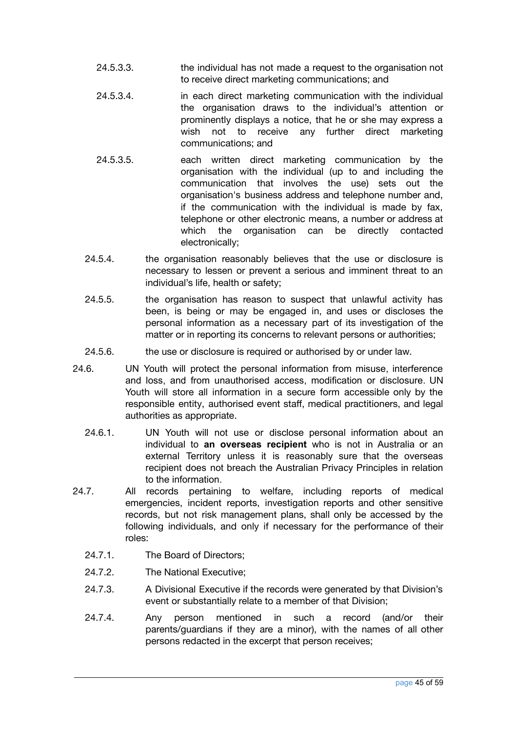- 24.5.3.3. the individual has not made a request to the organisation not to receive direct marketing communications; and
- 24.5.3.4. in each direct marketing communication with the individual the organisation draws to the individual's attention or prominently displays a notice, that he or she may express a wish not to receive any further direct marketing communications; and
- 24.5.3.5. each written direct marketing communication by the organisation with the individual (up to and including the communication that involves the use) sets out the organisation's business address and telephone number and, if the communication with the individual is made by fax, telephone or other electronic means, a number or address at which the organisation can be directly contacted electronically;
- 24.5.4. the organisation reasonably believes that the use or disclosure is necessary to lessen or prevent a serious and imminent threat to an individual's life, health or safety;
- 24.5.5. the organisation has reason to suspect that unlawful activity has been, is being or may be engaged in, and uses or discloses the personal information as a necessary part of its investigation of the matter or in reporting its concerns to relevant persons or authorities;
- 24.5.6. the use or disclosure is required or authorised by or under law.
- 24.6. UN Youth will protect the personal information from misuse, interference and loss, and from unauthorised access, modification or disclosure. UN Youth will store all information in a secure form accessible only by the responsible entity, authorised event staff, medical practitioners, and legal authorities as appropriate.
	- 24.6.1. UN Youth will not use or disclose personal information about an individual to **an overseas recipient** who is not in Australia or an external Territory unless it is reasonably sure that the overseas recipient does not breach the Australian Privacy Principles in relation to the information.
- 24.7. All records pertaining to welfare, including reports of medical emergencies, incident reports, investigation reports and other sensitive records, but not risk management plans, shall only be accessed by the following individuals, and only if necessary for the performance of their roles:
	- 24.7.1. The Board of Directors;
	- 24.7.2. The National Executive;
	- 24.7.3. A Divisional Executive if the records were generated by that Division's event or substantially relate to a member of that Division;
	- 24.7.4. Any person mentioned in such a record (and/or their parents/guardians if they are a minor), with the names of all other persons redacted in the excerpt that person receives;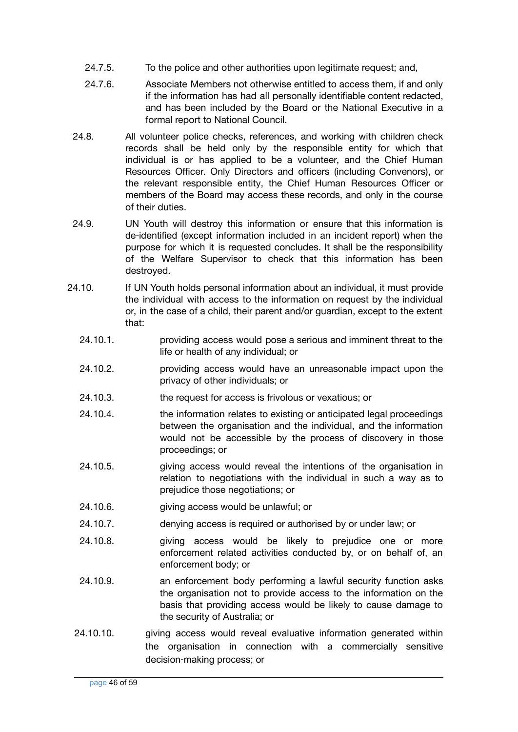- 24.7.5. To the police and other authorities upon legitimate request; and,
- 24.7.6. Associate Members not otherwise entitled to access them, if and only if the information has had all personally identifiable content redacted, and has been included by the Board or the National Executive in a formal report to National Council.
- 24.8. All volunteer police checks, references, and working with children check records shall be held only by the responsible entity for which that individual is or has applied to be a volunteer, and the Chief Human Resources Officer. Only Directors and officers (including Convenors), or the relevant responsible entity, the Chief Human Resources Officer or members of the Board may access these records, and only in the course of their duties.
- 24.9. UN Youth will destroy this information or ensure that this information is de‑identified (except information included in an incident report) when the purpose for which it is requested concludes. It shall be the responsibility of the Welfare Supervisor to check that this information has been destroyed.
- 24.10. If UN Youth holds personal information about an individual, it must provide the individual with access to the information on request by the individual or, in the case of a child, their parent and/or guardian, except to the extent that:
	- 24.10.1. providing access would pose a serious and imminent threat to the life or health of any individual; or
	- 24.10.2. providing access would have an unreasonable impact upon the privacy of other individuals; or
	- 24.10.3. the request for access is frivolous or vexatious; or
	- 24.10.4. the information relates to existing or anticipated legal proceedings between the organisation and the individual, and the information would not be accessible by the process of discovery in those proceedings; or
	- 24.10.5. giving access would reveal the intentions of the organisation in relation to negotiations with the individual in such a way as to prejudice those negotiations; or
	- 24.10.6. giving access would be unlawful; or
	- 24.10.7. denying access is required or authorised by or under law; or
	- 24.10.8. giving access would be likely to prejudice one or more enforcement related activities conducted by, or on behalf of, an enforcement body; or
	- 24.10.9. an enforcement body performing a lawful security function asks the organisation not to provide access to the information on the basis that providing access would be likely to cause damage to the security of Australia; or
	- 24.10.10. giving access would reveal evaluative information generated within the organisation in connection with a commercially sensitive decision‑making process; or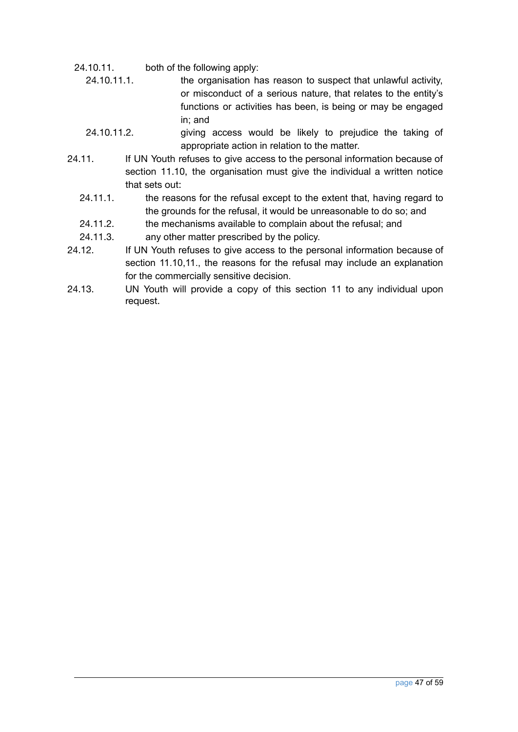- 24.10.11. both of the following apply:
	- 24.10.11.1. the organisation has reason to suspect that unlawful activity, or misconduct of a serious nature, that relates to the entity's functions or activities has been, is being or may be engaged in; and
	- 24.10.11.2. giving access would be likely to prejudice the taking of appropriate action in relation to the matter.
- 24.11. If UN Youth refuses to give access to the personal information because of section 11.10, the organisation must give the individual a written notice that sets out:
	- 24.11.1. the reasons for the refusal except to the extent that, having regard to the grounds for the refusal, it would be unreasonable to do so; and
	- 24.11.2. the mechanisms available to complain about the refusal; and
	- 24.11.3. any other matter prescribed by the policy.
- 24.12. If UN Youth refuses to give access to the personal information because of section 11.10,11., the reasons for the refusal may include an explanation for the commercially sensitive decision.
- 24.13. UN Youth will provide a copy of this section 11 to any individual upon request.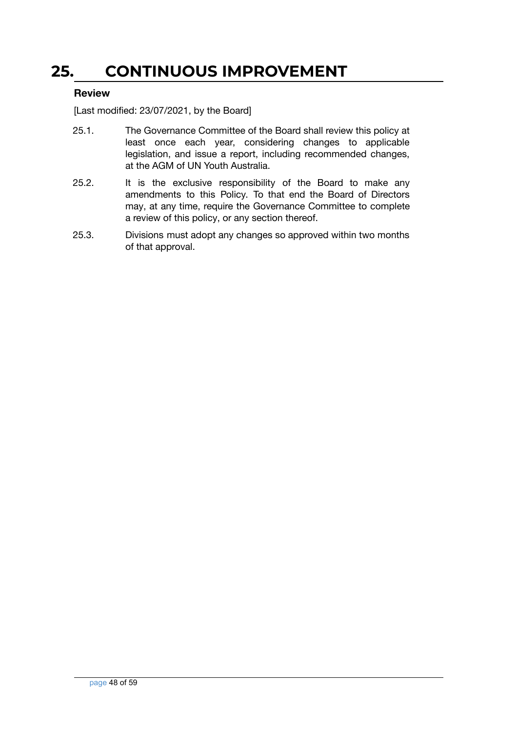### <span id="page-47-0"></span>**25. CONTINUOUS IMPROVEMENT**

#### <span id="page-47-1"></span>**Review**

- 25.1. The Governance Committee of the Board shall review this policy at least once each year, considering changes to applicable legislation, and issue a report, including recommended changes, at the AGM of UN Youth Australia.
- 25.2. It is the exclusive responsibility of the Board to make any amendments to this Policy. To that end the Board of Directors may, at any time, require the Governance Committee to complete a review of this policy, or any section thereof.
- 25.3. Divisions must adopt any changes so approved within two months of that approval.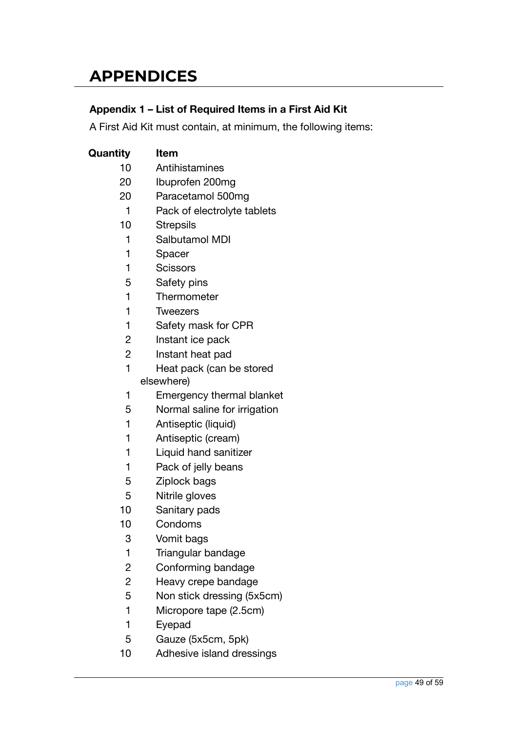### <span id="page-48-0"></span>**APPENDICES**

#### <span id="page-48-1"></span>**Appendix 1 – List of Required Items in a First Aid Kit**

A First Aid Kit must contain, at minimum, the following items:

| Quantity                | Item                         |
|-------------------------|------------------------------|
| 10                      | Antihistamines               |
| 20                      | Ibuprofen 200mg              |
| 20                      | Paracetamol 500mg            |
| 1                       | Pack of electrolyte tablets  |
| 10                      | <b>Strepsils</b>             |
| 1                       | Salbutamol MDI               |
| 1                       | Spacer                       |
| 1                       | <b>Scissors</b>              |
| 5                       | Safety pins                  |
| 1                       | Thermometer                  |
| 1                       | Tweezers                     |
| 1                       | Safety mask for CPR          |
| $\overline{c}$          | Instant ice pack             |
| $\overline{2}$          | Instant heat pad             |
| 1                       | Heat pack (can be stored     |
|                         | elsewhere)                   |
| 1                       | Emergency thermal blanket    |
| 5                       | Normal saline for irrigation |
| 1                       | Antiseptic (liquid)          |
| 1                       | Antiseptic (cream)           |
| 1                       | Liquid hand sanitizer        |
| 1                       | Pack of jelly beans          |
| 5                       | Ziplock bags                 |
| 5                       | Nitrile gloves               |
| 10                      | Sanitary pads                |
| 10                      | Condoms                      |
| 3                       | Vomit bags                   |
| 1                       | Triangular bandage           |
| $\overline{c}$          | Conforming bandage           |
| $\overline{\mathbf{c}}$ | Heavy crepe bandage          |
| 5                       | Non stick dressing (5x5cm)   |
| 1                       | Micropore tape (2.5cm)       |
| 1                       | Eyepad                       |
| 5                       | Gauze (5x5cm, 5pk)           |
| 10                      | Adhesive island dressings    |
|                         |                              |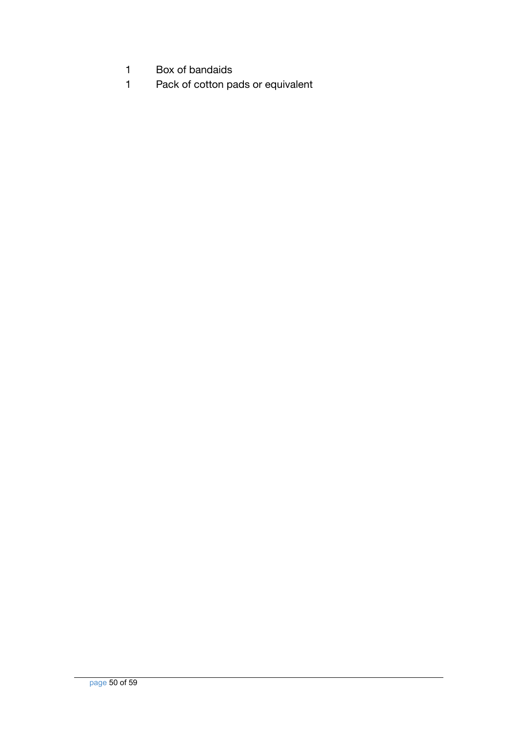- Box of bandaids
- Pack of cotton pads or equivalent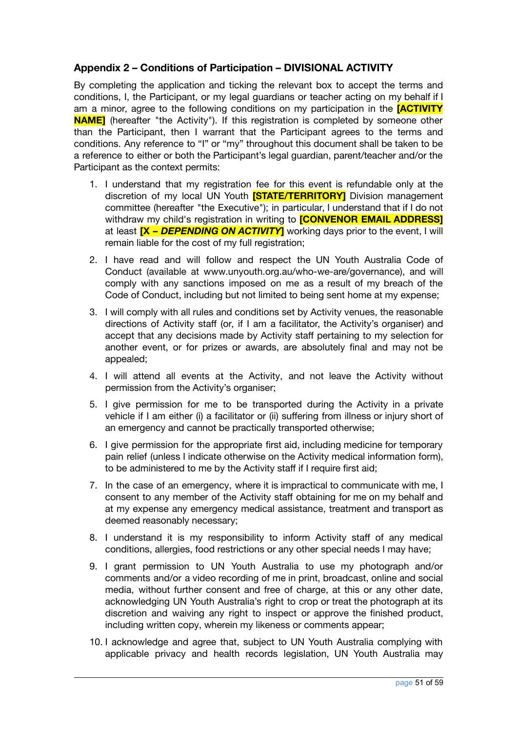#### <span id="page-50-0"></span>**Appendix 2 – Conditions of Participation – DIVISIONAL ACTIVITY**

By completing the application and ticking the relevant box to accept the terms and conditions, I, the Participant, or my legal guardians or teacher acting on my behalf if I am a minor, agree to the following conditions on my participation in the **[ACTIVITY NAME**] (hereafter "the Activity"). If this registration is completed by someone other than the Participant, then I warrant that the Participant agrees to the terms and conditions. Any reference to "I" or "my" throughout this document shall be taken to be a reference to either or both the Participant's legal guardian, parent/teacher and/or the Participant as the context permits:

- 1. I understand that my registration fee for this event is refundable only at the discretion of my local UN Youth **[STATE/TERRITORY]** Division management committee (hereafter "the Executive"); in particular, I understand that if I do not withdraw my child's registration in writing to **[CONVENOR EMAIL ADDRESS]** at least **[X –** *DEPENDING ON ACTIVITY***]** working days prior to the event, I will remain liable for the cost of my full registration;
- 2. I have read and will follow and respect the UN Youth Australia Code of Conduct (available at www.unyouth.org.au/who-we-are/governance), and will comply with any sanctions imposed on me as a result of my breach of the Code of Conduct, including but not limited to being sent home at my expense;
- 3. I will comply with all rules and conditions set by Activity venues, the reasonable directions of Activity staff (or, if I am a facilitator, the Activity's organiser) and accept that any decisions made by Activity staff pertaining to my selection for another event, or for prizes or awards, are absolutely final and may not be appealed;
- 4. I will attend all events at the Activity, and not leave the Activity without permission from the Activity's organiser;
- 5. I give permission for me to be transported during the Activity in a private vehicle if I am either (i) a facilitator or (ii) suffering from illness or injury short of an emergency and cannot be practically transported otherwise;
- 6. I give permission for the appropriate first aid, including medicine for temporary pain relief (unless I indicate otherwise on the Activity medical information form), to be administered to me by the Activity staff if I require first aid;
- 7. In the case of an emergency, where it is impractical to communicate with me, I consent to any member of the Activity staff obtaining for me on my behalf and at my expense any emergency medical assistance, treatment and transport as deemed reasonably necessary;
- 8. I understand it is my responsibility to inform Activity staff of any medical conditions, allergies, food restrictions or any other special needs I may have;
- 9. I grant permission to UN Youth Australia to use my photograph and/or comments and/or a video recording of me in print, broadcast, online and social media, without further consent and free of charge, at this or any other date, acknowledging UN Youth Australia's right to crop or treat the photograph at its discretion and waiving any right to inspect or approve the finished product, including written copy, wherein my likeness or comments appear;
- 10. I acknowledge and agree that, subject to UN Youth Australia complying with applicable privacy and health records legislation, UN Youth Australia may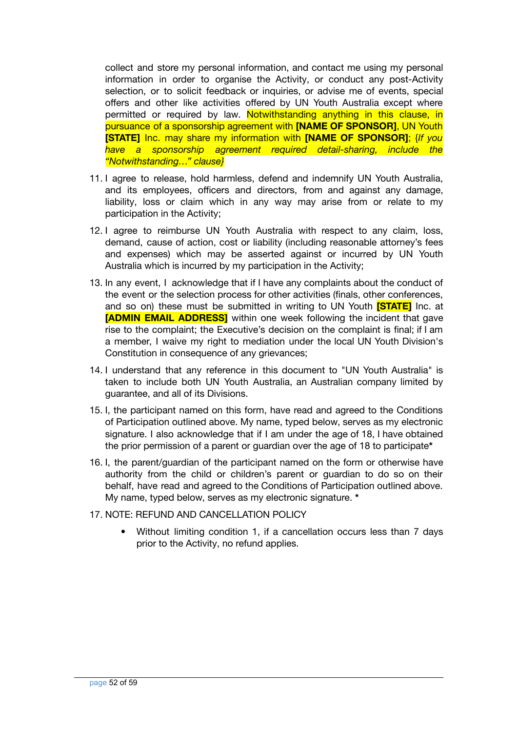collect and store my personal information, and contact me using my personal information in order to organise the Activity, or conduct any post-Activity selection, or to solicit feedback or inquiries, or advise me of events, special offers and other like activities offered by UN Youth Australia except where permitted or required by law. Notwithstanding anything in this clause, in pursuance of a sponsorship agreement with **[NAME OF SPONSOR]**, UN Youth **[STATE]** Inc. may share my information with **[NAME OF SPONSOR]**; {*If you have a sponsorship agreement required detail-sharing, include the "Notwithstanding…" clause}*

- 11. I agree to release, hold harmless, defend and indemnify UN Youth Australia, and its employees, officers and directors, from and against any damage, liability, loss or claim which in any way may arise from or relate to my participation in the Activity;
- 12. I agree to reimburse UN Youth Australia with respect to any claim, loss, demand, cause of action, cost or liability (including reasonable attorney's fees and expenses) which may be asserted against or incurred by UN Youth Australia which is incurred by my participation in the Activity;
- 13. In any event, I acknowledge that if I have any complaints about the conduct of the event or the selection process for other activities (finals, other conferences, and so on) these must be submitted in writing to UN Youth **[STATE]** Inc. at **[ADMIN EMAIL ADDRESS]** within one week following the incident that gave rise to the complaint; the Executive's decision on the complaint is final; if I am a member, I waive my right to mediation under the local UN Youth Division's Constitution in consequence of any grievances;
- 14. I understand that any reference in this document to "UN Youth Australia" is taken to include both UN Youth Australia, an Australian company limited by guarantee, and all of its Divisions.
- 15. I, the participant named on this form, have read and agreed to the Conditions of Participation outlined above. My name, typed below, serves as my electronic signature. I also acknowledge that if I am under the age of 18, I have obtained the prior permission of a parent or guardian over the age of 18 to participate**\***
- 16. I, the parent/guardian of the participant named on the form or otherwise have authority from the child or children's parent or guardian to do so on their behalf, have read and agreed to the Conditions of Participation outlined above. My name, typed below, serves as my electronic signature. **\***
- 17. NOTE: REFUND AND CANCELLATION POLICY
	- Without limiting condition 1, if a cancellation occurs less than 7 days prior to the Activity, no refund applies.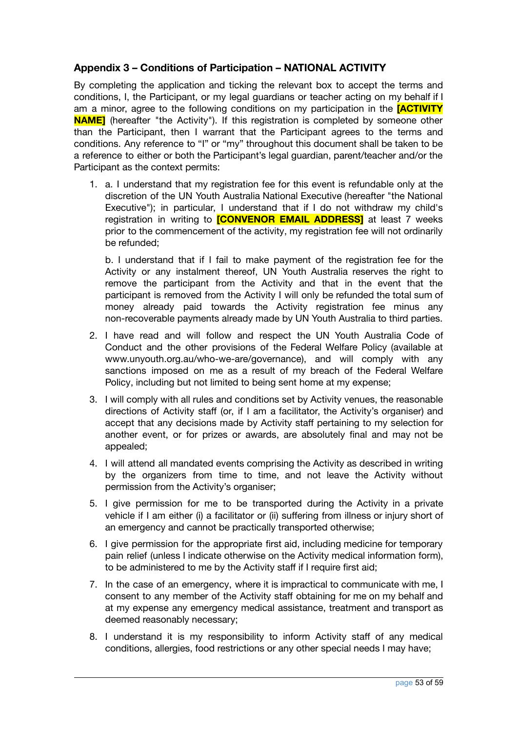#### <span id="page-52-0"></span>**Appendix 3 – Conditions of Participation – NATIONAL ACTIVITY**

By completing the application and ticking the relevant box to accept the terms and conditions, I, the Participant, or my legal guardians or teacher acting on my behalf if I am a minor, agree to the following conditions on my participation in the **[ACTIVITY NAME**] (hereafter "the Activity"). If this registration is completed by someone other than the Participant, then I warrant that the Participant agrees to the terms and conditions. Any reference to "I" or "my" throughout this document shall be taken to be a reference to either or both the Participant's legal guardian, parent/teacher and/or the Participant as the context permits:

1. a. I understand that my registration fee for this event is refundable only at the discretion of the UN Youth Australia National Executive (hereafter "the National Executive"); in particular, I understand that if I do not withdraw my child's registration in writing to **[CONVENOR EMAIL ADDRESS]** at least 7 weeks prior to the commencement of the activity, my registration fee will not ordinarily be refunded;

b. I understand that if I fail to make payment of the registration fee for the Activity or any instalment thereof, UN Youth Australia reserves the right to remove the participant from the Activity and that in the event that the participant is removed from the Activity I will only be refunded the total sum of money already paid towards the Activity registration fee minus any non-recoverable payments already made by UN Youth Australia to third parties.

- 2. I have read and will follow and respect the UN Youth Australia Code of Conduct and the other provisions of the Federal Welfare Policy (available at www.unyouth.org.au/who-we-are/governance), and will comply with any sanctions imposed on me as a result of my breach of the Federal Welfare Policy, including but not limited to being sent home at my expense;
- 3. I will comply with all rules and conditions set by Activity venues, the reasonable directions of Activity staff (or, if I am a facilitator, the Activity's organiser) and accept that any decisions made by Activity staff pertaining to my selection for another event, or for prizes or awards, are absolutely final and may not be appealed;
- 4. I will attend all mandated events comprising the Activity as described in writing by the organizers from time to time, and not leave the Activity without permission from the Activity's organiser;
- 5. I give permission for me to be transported during the Activity in a private vehicle if I am either (i) a facilitator or (ii) suffering from illness or injury short of an emergency and cannot be practically transported otherwise;
- 6. I give permission for the appropriate first aid, including medicine for temporary pain relief (unless I indicate otherwise on the Activity medical information form), to be administered to me by the Activity staff if I require first aid;
- 7. In the case of an emergency, where it is impractical to communicate with me, I consent to any member of the Activity staff obtaining for me on my behalf and at my expense any emergency medical assistance, treatment and transport as deemed reasonably necessary;
- 8. I understand it is my responsibility to inform Activity staff of any medical conditions, allergies, food restrictions or any other special needs I may have;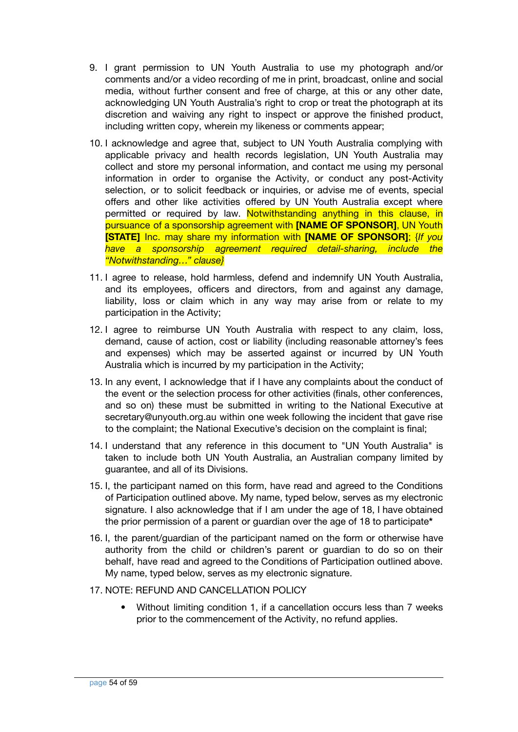- 9. I grant permission to UN Youth Australia to use my photograph and/or comments and/or a video recording of me in print, broadcast, online and social media, without further consent and free of charge, at this or any other date, acknowledging UN Youth Australia's right to crop or treat the photograph at its discretion and waiving any right to inspect or approve the finished product, including written copy, wherein my likeness or comments appear;
- 10. I acknowledge and agree that, subject to UN Youth Australia complying with applicable privacy and health records legislation, UN Youth Australia may collect and store my personal information, and contact me using my personal information in order to organise the Activity, or conduct any post-Activity selection, or to solicit feedback or inquiries, or advise me of events, special offers and other like activities offered by UN Youth Australia except where permitted or required by law. Notwithstanding anything in this clause, in pursuance of a sponsorship agreement with **[NAME OF SPONSOR]**, UN Youth **[STATE]** Inc. may share my information with **[NAME OF SPONSOR]**; {*If you have a sponsorship agreement required detail-sharing, include the "Notwithstanding…" clause}*
- 11. I agree to release, hold harmless, defend and indemnify UN Youth Australia, and its employees, officers and directors, from and against any damage, liability, loss or claim which in any way may arise from or relate to my participation in the Activity;
- 12. I agree to reimburse UN Youth Australia with respect to any claim, loss, demand, cause of action, cost or liability (including reasonable attorney's fees and expenses) which may be asserted against or incurred by UN Youth Australia which is incurred by my participation in the Activity;
- 13. In any event, I acknowledge that if I have any complaints about the conduct of the event or the selection process for other activities (finals, other conferences, and so on) these must be submitted in writing to the National Executive at secretary@unyouth.org.au within one week following the incident that gave rise to the complaint; the National Executive's decision on the complaint is final;
- 14. I understand that any reference in this document to "UN Youth Australia" is taken to include both UN Youth Australia, an Australian company limited by guarantee, and all of its Divisions.
- 15. I, the participant named on this form, have read and agreed to the Conditions of Participation outlined above. My name, typed below, serves as my electronic signature. I also acknowledge that if I am under the age of 18, I have obtained the prior permission of a parent or guardian over the age of 18 to participate**\***
- 16. I, the parent/guardian of the participant named on the form or otherwise have authority from the child or children's parent or guardian to do so on their behalf, have read and agreed to the Conditions of Participation outlined above. My name, typed below, serves as my electronic signature.
- 17. NOTE: REFUND AND CANCELLATION POLICY
	- Without limiting condition 1, if a cancellation occurs less than 7 weeks prior to the commencement of the Activity, no refund applies.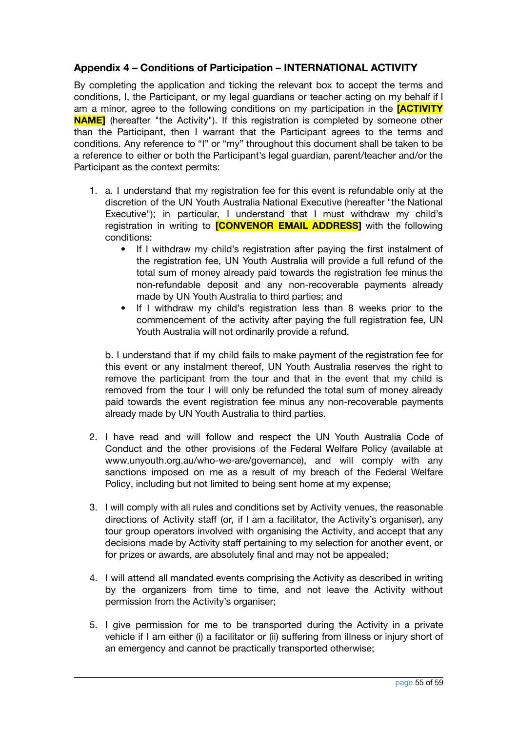#### <span id="page-54-0"></span>**Appendix 4 – Conditions of Participation – INTERNATIONAL ACTIVITY**

By completing the application and ticking the relevant box to accept the terms and conditions, I, the Participant, or my legal guardians or teacher acting on my behalf if I am a minor, agree to the following conditions on my participation in the **[ACTIVITY NAME**] (hereafter "the Activity"). If this registration is completed by someone other than the Participant, then I warrant that the Participant agrees to the terms and conditions. Any reference to "I" or "my" throughout this document shall be taken to be a reference to either or both the Participant's legal guardian, parent/teacher and/or the Participant as the context permits:

- 1. a. I understand that my registration fee for this event is refundable only at the discretion of the UN Youth Australia National Executive (hereafter "the National Executive"); in particular, I understand that I must withdraw my child's registration in writing to **[CONVENOR EMAIL ADDRESS]** with the following conditions:
	- If I withdraw my child's registration after paying the first instalment of the registration fee, UN Youth Australia will provide a full refund of the total sum of money already paid towards the registration fee minus the non-refundable deposit and any non-recoverable payments already made by UN Youth Australia to third parties; and
	- If I withdraw my child's registration less than 8 weeks prior to the commencement of the activity after paying the full registration fee, UN Youth Australia will not ordinarily provide a refund.

b. I understand that if my child fails to make payment of the registration fee for this event or any instalment thereof, UN Youth Australia reserves the right to remove the participant from the tour and that in the event that my child is removed from the tour I will only be refunded the total sum of money already paid towards the event registration fee minus any non-recoverable payments already made by UN Youth Australia to third parties.

- 2. I have read and will follow and respect the UN Youth Australia Code of Conduct and the other provisions of the Federal Welfare Policy (available at www.unyouth.org.au/who-we-are/governance), and will comply with any sanctions imposed on me as a result of my breach of the Federal Welfare Policy, including but not limited to being sent home at my expense;
- 3. I will comply with all rules and conditions set by Activity venues, the reasonable directions of Activity staff (or, if I am a facilitator, the Activity's organiser), any tour group operators involved with organising the Activity, and accept that any decisions made by Activity staff pertaining to my selection for another event, or for prizes or awards, are absolutely final and may not be appealed;
- 4. I will attend all mandated events comprising the Activity as described in writing by the organizers from time to time, and not leave the Activity without permission from the Activity's organiser;
- 5. I give permission for me to be transported during the Activity in a private vehicle if I am either (i) a facilitator or (ii) suffering from illness or injury short of an emergency and cannot be practically transported otherwise;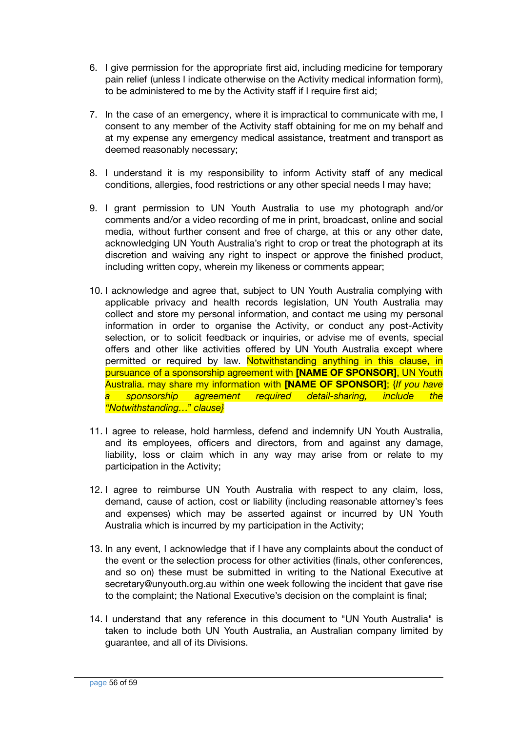- 6. I give permission for the appropriate first aid, including medicine for temporary pain relief (unless I indicate otherwise on the Activity medical information form), to be administered to me by the Activity staff if I require first aid;
- 7. In the case of an emergency, where it is impractical to communicate with me, I consent to any member of the Activity staff obtaining for me on my behalf and at my expense any emergency medical assistance, treatment and transport as deemed reasonably necessary;
- 8. I understand it is my responsibility to inform Activity staff of any medical conditions, allergies, food restrictions or any other special needs I may have;
- 9. I grant permission to UN Youth Australia to use my photograph and/or comments and/or a video recording of me in print, broadcast, online and social media, without further consent and free of charge, at this or any other date, acknowledging UN Youth Australia's right to crop or treat the photograph at its discretion and waiving any right to inspect or approve the finished product, including written copy, wherein my likeness or comments appear;
- 10. I acknowledge and agree that, subject to UN Youth Australia complying with applicable privacy and health records legislation, UN Youth Australia may collect and store my personal information, and contact me using my personal information in order to organise the Activity, or conduct any post-Activity selection, or to solicit feedback or inquiries, or advise me of events, special offers and other like activities offered by UN Youth Australia except where permitted or required by law. Notwithstanding anything in this clause, in pursuance of a sponsorship agreement with **[NAME OF SPONSOR]**, UN Youth Australia. may share my information with **[NAME OF SPONSOR]**; {*If you have a sponsorship agreement required detail-sharing, include the "Notwithstanding…" clause}*
- 11. I agree to release, hold harmless, defend and indemnify UN Youth Australia, and its employees, officers and directors, from and against any damage, liability, loss or claim which in any way may arise from or relate to my participation in the Activity;
- 12. I agree to reimburse UN Youth Australia with respect to any claim, loss, demand, cause of action, cost or liability (including reasonable attorney's fees and expenses) which may be asserted against or incurred by UN Youth Australia which is incurred by my participation in the Activity;
- 13. In any event, I acknowledge that if I have any complaints about the conduct of the event or the selection process for other activities (finals, other conferences, and so on) these must be submitted in writing to the National Executive at secretary@unyouth.org.au within one week following the incident that gave rise to the complaint; the National Executive's decision on the complaint is final;
- 14. I understand that any reference in this document to "UN Youth Australia" is taken to include both UN Youth Australia, an Australian company limited by guarantee, and all of its Divisions.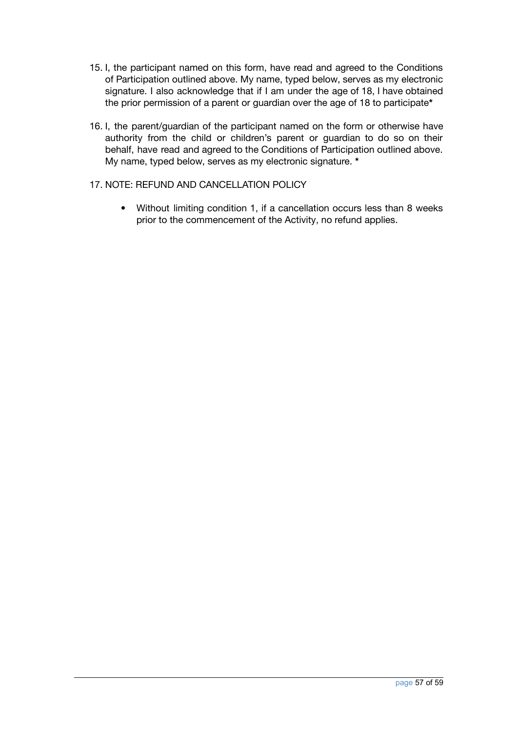- 15. I, the participant named on this form, have read and agreed to the Conditions of Participation outlined above. My name, typed below, serves as my electronic signature. I also acknowledge that if I am under the age of 18, I have obtained the prior permission of a parent or guardian over the age of 18 to participate**\***
- 16. I, the parent/guardian of the participant named on the form or otherwise have authority from the child or children's parent or guardian to do so on their behalf, have read and agreed to the Conditions of Participation outlined above. My name, typed below, serves as my electronic signature. **\***

#### 17. NOTE: REFUND AND CANCELLATION POLICY

• Without limiting condition 1, if a cancellation occurs less than 8 weeks prior to the commencement of the Activity, no refund applies.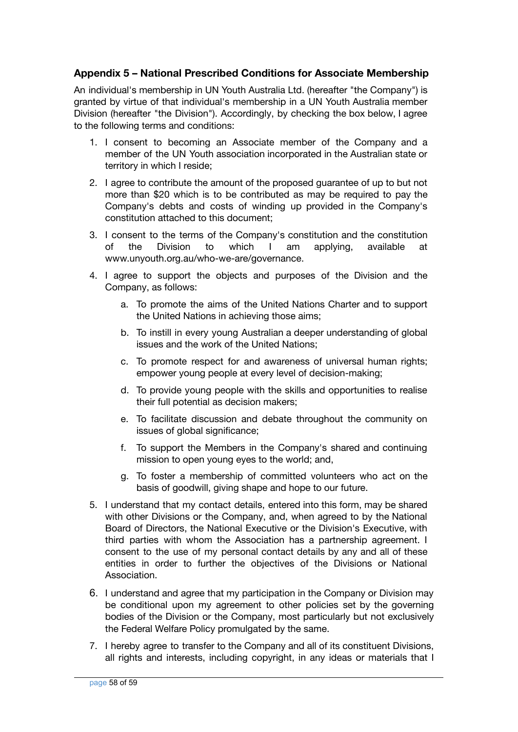#### <span id="page-57-0"></span>**Appendix 5 – National Prescribed Conditions for Associate Membership**

An individual's membership in UN Youth Australia Ltd. (hereafter "the Company") is granted by virtue of that individual's membership in a UN Youth Australia member Division (hereafter "the Division"). Accordingly, by checking the box below, I agree to the following terms and conditions:

- 1. I consent to becoming an Associate member of the Company and a member of the UN Youth association incorporated in the Australian state or territory in which I reside;
- 2. I agree to contribute the amount of the proposed guarantee of up to but not more than \$20 which is to be contributed as may be required to pay the Company's debts and costs of winding up provided in the Company's constitution attached to this document;
- 3. I consent to the terms of the Company's constitution and the constitution of the Division to which I am applying, available at [www.unyouth.org.au/who-we-are/governance.](http://www.unyouth.org.au/who-we-are/governance)
- 4. I agree to support the objects and purposes of the Division and the Company, as follows:
	- a. To promote the aims of the United Nations Charter and to support the United Nations in achieving those aims;
	- b. To instill in every young Australian a deeper understanding of global issues and the work of the United Nations;
	- c. To promote respect for and awareness of universal human rights; empower young people at every level of decision-making;
	- d. To provide young people with the skills and opportunities to realise their full potential as decision makers;
	- e. To facilitate discussion and debate throughout the community on issues of global significance;
	- f. To support the Members in the Company's shared and continuing mission to open young eyes to the world; and,
	- g. To foster a membership of committed volunteers who act on the basis of goodwill, giving shape and hope to our future.
- 5. I understand that my contact details, entered into this form, may be shared with other Divisions or the Company, and, when agreed to by the National Board of Directors, the National Executive or the Division's Executive, with third parties with whom the Association has a partnership agreement. I consent to the use of my personal contact details by any and all of these entities in order to further the objectives of the Divisions or National Association.
- 6. I understand and agree that my participation in the Company or Division may be conditional upon my agreement to other policies set by the governing bodies of the Division or the Company, most particularly but not exclusively the Federal Welfare Policy promulgated by the same.
- 7. I hereby agree to transfer to the Company and all of its constituent Divisions, all rights and interests, including copyright, in any ideas or materials that I